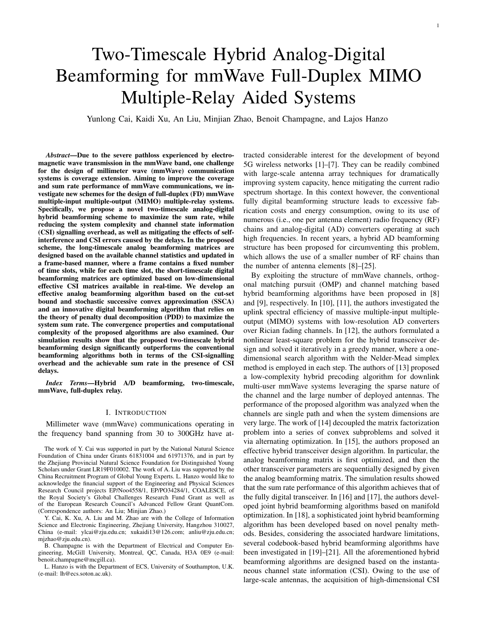# Two-Timescale Hybrid Analog-Digital Beamforming for mmWave Full-Duplex MIMO Multiple-Relay Aided Systems

Yunlong Cai, Kaidi Xu, An Liu, Minjian Zhao, Benoit Champagne, and Lajos Hanzo

*Abstract*—Due to the severe pathloss experienced by electromagnetic wave transmission in the mmWave band, one challenge for the design of millimeter wave (mmWave) communication systems is coverage extension. Aiming to improve the coverage and sum rate performance of mmWave communications, we investigate new schemes for the design of full-duplex (FD) mmWave multiple-input multiple-output (MIMO) multiple-relay systems. Specifically, we propose a novel two-timescale analog-digital hybrid beamforming scheme to maximize the sum rate, while reducing the system complexity and channel state information (CSI) signalling overhead, as well as mitigating the effects of selfinterference and CSI errors caused by the delays. In the proposed scheme, the long-timescale analog beamforming matrices are designed based on the available channel statistics and updated in a frame-based manner, where a frame contains a fixed number of time slots, while for each time slot, the short-timescale digital beamforming matrices are optimized based on low-dimensional effective CSI matrices available in real-time. We develop an effective analog beamforming algorithm based on the cut-set bound and stochastic successive convex approximation (SSCA) and an innovative digital beamforming algorithm that relies on the theory of penalty dual decomposition (PDD) to maximize the system sum rate. The convergence properties and computational complexity of the proposed algorithms are also examined. Our simulation results show that the proposed two-timescale hybrid beamforming design significantly outperforms the conventional beamforming algorithms both in terms of the CSI-signalling overhead and the achievable sum rate in the presence of CSI delays.

*Index Terms*—Hybrid A/D beamforming, two-timescale, mmWave, full-duplex relay.

#### I. INTRODUCTION

Millimeter wave (mmWave) communications operating in the frequency band spanning from 30 to 300GHz have at-

Y. Cai, K. Xu, A. Liu and M. Zhao are with the College of Information Science and Electronic Engineering, Zhejiang University, Hangzhou 310027, China (e-mail: ylcai@zju.edu.cn; xukaidi13@126.com; anliu@zju.edu.cn; mjzhao@zju.edu.cn).

B. Champagne is with the Department of Electrical and Computer Engineering, McGill University, Montreal, QC, Canada, H3A 0E9 (e-mail: benoit.champagne@mcgill.ca).

L. Hanzo is with the Department of ECS, University of Southampton, U.K. (e-mail: lh@ecs.soton.ac.uk).

tracted considerable interest for the development of beyond 5G wireless networks [1]–[7]. They can be readily combined with large-scale antenna array techniques for dramatically improving system capacity, hence mitigating the current radio spectrum shortage. In this context however, the conventional fully digital beamforming structure leads to excessive fabrication costs and energy consumption, owing to its use of numerous (i.e., one per antenna element) radio frequency (RF) chains and analog-digital (AD) converters operating at such high frequencies. In recent years, a hybrid AD beamforming structure has been proposed for circumventing this problem, which allows the use of a smaller number of RF chains than the number of antenna elements [8]–[25].

By exploiting the structure of mmWave channels, orthogonal matching pursuit (OMP) and channel matching based hybrid beamforming algorithms have been proposed in [8] and [9], respectively. In [10], [11], the authors investigated the uplink spectral efficiency of massive multiple-input multipleoutput (MIMO) systems with low-resolution AD converters over Rician fading channels. In [12], the authors formulated a nonlinear least-square problem for the hybrid transceiver design and solved it iteratively in a greedy manner, where a onedimensional search algorithm with the Nelder-Mead simplex method is employed in each step. The authors of [13] proposed a low-complexity hybrid precoding algorithm for downlink multi-user mmWave systems leveraging the sparse nature of the channel and the large number of deployed antennas. The performance of the proposed algorithm was analyzed when the channels are single path and when the system dimensions are very large. The work of [14] decoupled the matrix factorization problem into a series of convex subproblems and solved it via alternating optimization. In [15], the authors proposed an effective hybrid transceiver design algorithm. In particular, the analog beamforming matrix is first optimized, and then the other transceiver parameters are sequentially designed by given the analog beamforming matrix. The simulation results showed that the sum rate performance of this algorithm achieves that of the fully digital transceiver. In [16] and [17], the authors developed joint hybrid beamforming algorithms based on manifold optimization. In [18], a sophisticated joint hybrid beamforming algorithm has been developed based on novel penalty methods. Besides, considering the associated hardware limitations, several codebook-based hybrid beamforming algorithms have been investigated in [19]–[21]. All the aforementioned hybrid beamforming algorithms are designed based on the instantaneous channel state information (CSI). Owing to the use of large-scale antennas, the acquisition of high-dimensional CSI

The work of Y. Cai was supported in part by the National Natural Science Foundation of China under Grants 61831004 and 61971376, and in part by the Zhejiang Provincial Natural Science Foundation for Distinguished Young Scholars under Grant LR19F010002. The work of A. Liu was supported by the China Recruitment Program of Global Young Experts. L. Hanzo would like to acknowledge the financial support of the Engineering and Physical Sciences Research Council projects EP/Noo4558/1, EP/PO34284/1, COALESCE, of the Royal Society's Global Challenges Research Fund Grant as well as of the European Research Council's Advanced Fellow Grant QuantCom. (Correspondence authors: An Liu; Minjian Zhao.)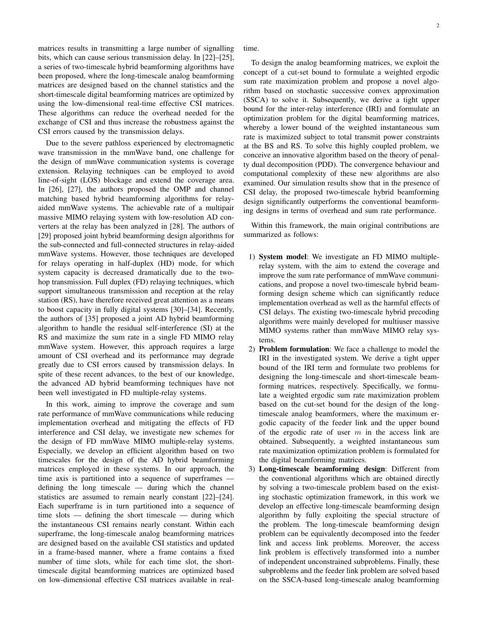matrices results in transmitting a large number of signalling bits, which can cause serious transmission delay. In [22]–[25], a series of two-timescale hybrid beamforming algorithms have been proposed, where the long-timescale analog beamforming matrices are designed based on the channel statistics and the short-timescale digital beamforming matrices are optimized by using the low-dimensional real-time effective CSI matrices. These algorithms can reduce the overhead needed for the exchange of CSI and thus increase the robustness against the CSI errors caused by the transmission delays.

Due to the severe pathloss experienced by electromagnetic wave transmission in the mmWave band, one challenge for the design of mmWave communication systems is coverage extension. Relaying techniques can be employed to avoid line-of-sight (LOS) blockage and extend the coverage area. In [26], [27], the authors proposed the OMP and channel matching based hybrid beamforming algorithms for relayaided mmWave systems. The achievable rate of a multipair massive MIMO relaying system with low-resolution AD converters at the relay has been analyzed in [28]. The authors of [29] proposed joint hybrid beamforming design algorithms for the sub-connected and full-connected structures in relay-aided mmWave systems. However, those techniques are developed for relays operating in half-duplex (HD) mode, for which system capacity is decreased dramatically due to the twohop transmission. Full duplex (FD) relaying techniques, which support simultaneous transmission and reception at the relay station (RS), have therefore received great attention as a means to boost capacity in fully digital systems [30]–[34]. Recently, the authors of [35] proposed a joint AD hybrid beamforming algorithm to handle the residual self-interference (SI) at the RS and maximize the sum rate in a single FD MIMO relay mmWave system. However, this approach requires a large amount of CSI overhead and its performance may degrade greatly due to CSI errors caused by transmission delays. In spite of these recent advances, to the best of our knowledge, the advanced AD hybrid beamforming techniques have not been well investigated in FD multiple-relay systems.

In this work, aiming to improve the coverage and sum rate performance of mmWave communications while reducing implementation overhead and mitigating the effects of FD interference and CSI delay, we investigate new schemes for the design of FD mmWave MIMO multiple-relay systems. Especially, we develop an efficient algorithm based on two timescales for the design of the AD hybrid beamforming matrices employed in these systems. In our approach, the time axis is partitioned into a sequence of superframes defining the long timescale — during which the channel statistics are assumed to remain nearly constant [22]–[24]. Each superframe is in turn partitioned into a sequence of time slots — defining the short timescale — during which the instantaneous CSI remains nearly constant. Within each superframe, the long-timescale analog beamforming matrices are designed based on the available CSI statistics and updated in a frame-based manner, where a frame contains a fixed number of time slots, while for each time slot, the shorttimescale digital beamforming matrices are optimized based on low-dimensional effective CSI matrices available in realtime.

To design the analog beamforming matrices, we exploit the concept of a cut-set bound to formulate a weighted ergodic sum rate maximization problem and propose a novel algorithm based on stochastic successive convex approximation (SSCA) to solve it. Subsequently, we derive a tight upper bound for the inter-relay interference (IRI) and formulate an optimization problem for the digital beamforming matrices, whereby a lower bound of the weighted instantaneous sum rate is maximized subject to total transmit power constraints at the BS and RS. To solve this highly coupled problem, we conceive an innovative algorithm based on the theory of penalty dual decomposition (PDD). The convergence behaviour and computational complexity of these new algorithms are also examined. Our simulation results show that in the presence of CSI delay, the proposed two-timescale hybrid beamforming design significantly outperforms the conventional beamforming designs in terms of overhead and sum rate performance.

Within this framework, the main original contributions are summarized as follows:

- 1) System model: We investigate an FD MIMO multiplerelay system, with the aim to extend the coverage and improve the sum rate performance of mmWave communications, and propose a novel two-timescale hybrid beamforming design scheme which can significantly reduce implementation overhead as well as the harmful effects of CSI delays. The existing two-timescale hybrid precoding algorithms were mainly developed for multiuser massive MIMO systems rather than mmWave MIMO relay systems.
- 2) Problem formulation: We face a challenge to model the IRI in the investigated system. We derive a tight upper bound of the IRI term and formulate two problems for designing the long-timescale and short-timescale beamforming matrices, respectively. Specifically, we formulate a weighted ergodic sum rate maximization problem based on the cut-set bound for the design of the longtimescale analog beamformers, where the maximum ergodic capacity of the feeder link and the upper bound of the ergodic rate of user *m* in the access link are obtained. Subsequently, a weighted instantaneous sum rate maximization optimization problem is formulated for the digital beamforming matrices.
- 3) Long-timescale beamforming design: Different from the conventional algorithms which are obtained directly by solving a two-timescale problem based on the existing stochastic optimization framework, in this work we develop an effective long-timescale beamforming design algorithm by fully exploiting the special structure of the problem. The long-timescale beamforming design problem can be equivalently decomposed into the feeder link and access link problems. Moreover, the access link problem is effectively transformed into a number of independent unconstrained subproblems. Finally, these subproblems and the feeder link problem are solved based on the SSCA-based long-timescale analog beamforming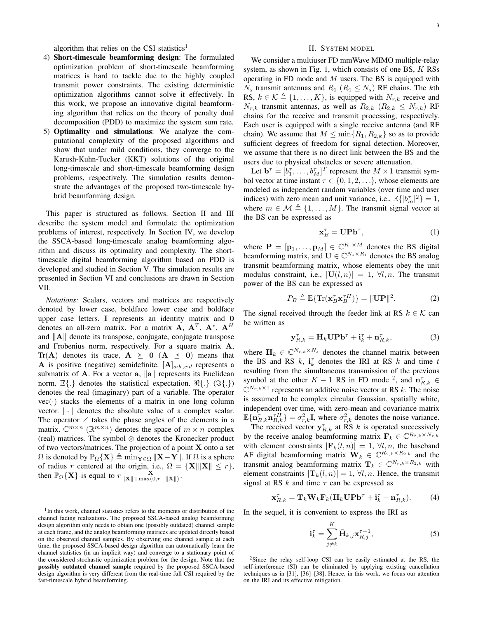algorithm that relies on the CSI statistics<sup>1</sup>

- 4) Short-timescale beamforming design: The formulated optimization problem of short-timescale beamforming matrices is hard to tackle due to the highly coupled transmit power constraints. The existing deterministic optimization algorithms cannot solve it effectively. In this work, we propose an innovative digital beamforming algorithm that relies on the theory of penalty dual decomposition (PDD) to maximize the system sum rate.
- 5) Optimality and simulations: We analyze the computational complexity of the proposed algorithms and show that under mild conditions, they converge to the Karush-Kuhn-Tucker (KKT) solutions of the original long-timescale and short-timescale beamforming design problems, respectively. The simulation results demonstrate the advantages of the proposed two-timescale hybrid beamforming design.

This paper is structured as follows. Section II and III describe the system model and formulate the optimization problems of interest, respectively. In Section IV, we develop the SSCA-based long-timescale analog beamforming algorithm and discuss its optimality and complexity. The shorttimescale digital beamforming algorithm based on PDD is developed and studied in Section V. The simulation results are presented in Section VI and conclusions are drawn in Section VII.

*Notations:* Scalars, vectors and matrices are respectively denoted by lower case, boldface lower case and boldface upper case letters. **I** represents an identity matrix and **0** denotes an all-zero matrix. For a matrix  $\mathbf{A}$ ,  $\mathbf{A}^T$ ,  $\mathbf{A}^*$ ,  $\mathbf{A}^H$ and *∥***A***∥* denote its transpose, conjugate, conjugate transpose and Frobenius norm, respectively. For a square matrix **A**, Tr(**A**) denotes its trace,  $A \ge 0$  ( $A \le 0$ ) means that **A** is positive (negative) semidefinite.  $[A]_{a:b,c:d}$  represents a submatrix of **A**. For a vector **a**, *∥***a***∥* represents its Euclidean norm. E*{.}* denotes the statistical expectation. *ℜ{.}* (*ℑ{.}*) denotes the real (imaginary) part of a variable. The operator  $vec(\cdot)$  stacks the elements of a matrix in one long column vector.  $|\cdot|$  denotes the absolute value of a complex scalar. The operator  $\angle$  takes the phase angles of the elements in a matrix.  $\mathbb{C}^{m \times n}$  ( $\mathbb{R}^{m \times n}$ ) denotes the space of  $m \times n$  complex (real) matrices. The symbol *⊗* denotes the Kronecker product of two vectors/matrices. The projection of a point **X** onto a set  $\Omega$  is denoted by  $\mathbb{P}_{\Omega} {\mathbf{X}} \triangleq \min_{\mathbf{Y} \in \Omega} {\mathbf{X}} - {\mathbf{Y}}$ *|L*. If  $\Omega$  is a sphere of radius *r* centered at the origin, i.e.,  $\Omega = {\mathbf{X}} ||\mathbf{X}|| \le r$ , then  $\mathbb{P}_{\Omega} \{ \mathbf{X} \}$  is equal to  $r \frac{\mathbf{X}}{\|\mathbf{X}\| + \max(0, r - \| \mathbf{X} \|)}$ .

<sup>1</sup>In this work, channel statistics refers to the moments or distribution of the channel fading realizations. The proposed SSCA-based analog beamforming design algorithm only needs to obtain one (possibly outdated) channel sample at each frame, and the analog beamforming matrices are updated directly based on the observed channel samples. By observing one channel sample at each time, the proposed SSCA-based design algorithm can automatically learn the channel statistics (in an implicit way) and converge to a stationary point of the considered stochastic optimization problem for the design. Note that the possibly outdated channel sample required by the proposed SSCA-based design algorithm is very different from the real-time full CSI required by the fast-timescale hybrid beamforming.

## II. SYSTEM MODEL

We consider a multiuser FD mmWave MIMO multiple-relay system, as shown in Fig. 1, which consists of one BS, *K* RSs operating in FD mode and *M* users. The BS is equipped with  $N_s$  transmit antennas and  $R_1$  ( $R_1 \leq N_s$ ) RF chains. The *k*th RS,  $k \in \mathcal{K} \triangleq \{1, \ldots, K\}$ , is equipped with  $N_{r,k}$  receive and  $N_{r,k}$  transmit antennas, as well as  $R_{2,k}$  ( $R_{2,k} \leq N_{r,k}$ ) RF chains for the receive and transmit processing, respectively. Each user is equipped with a single receive antenna (and RF chain). We assume that  $M \leq \min\{R_1, R_{2,k}\}\$  so as to provide sufficient degrees of freedom for signal detection. Moreover, we assume that there is no direct link between the BS and the users due to physical obstacles or severe attenuation.

Let  $\mathbf{b}^{\tau} = [b_1^{\tau}, \dots, b_M^{\tau}]^T$  represent the  $M \times 1$  transmit symbol vector at time instant  $\tau \in \{0, 1, 2, \ldots\}$ , whose elements are modeled as independent random variables (over time and user indices) with zero mean and unit variance, i.e.,  $\mathbb{E}\{|b_m^{\tau}|^2\} = 1$ , where  $m \in \mathcal{M} \triangleq \{1, \ldots, M\}$ . The transmit signal vector at the BS can be expressed as

$$
\mathbf{x}_B^\tau = \mathbf{U} \mathbf{P} \mathbf{b}^\tau,\tag{1}
$$

where  $P = [\mathbf{p}_1, \dots, \mathbf{p}_M] \in \mathbb{C}^{R_1 \times M}$  denotes the BS digital beamforming matrix, and  $\mathbf{U} \in \mathbb{C}^{N_s \times R_1}$  denotes the BS analog transmit beamforming matrix, whose elements obey the unit modulus constraint, i.e.,  $|\mathbf{U}(l,n)| = 1, \forall l, n$ . The transmit power of the BS can be expressed as

$$
P_B \triangleq \mathbb{E}\{\text{Tr}(\mathbf{x}_B^{\tau}\mathbf{x}_B^{\tau H})\} = \|\mathbf{U}\mathbf{P}\|^2. \tag{2}
$$

The signal received through the feeder link at RS  $k \in \mathcal{K}$  can be written as

$$
\mathbf{y}_{R,k}^{\tau} = \mathbf{H}_k \mathbf{U} \mathbf{P} \mathbf{b}^{\tau} + \mathbf{i}_k^{\tau} + \mathbf{n}_{R,k}^{\tau}, \tag{3}
$$

where  $\mathbf{H}_k \in \mathbb{C}^{N_{r,k} \times N_s}$  denotes the channel matrix between the BS and RS  $k$ ,  $\mathbf{i}_k^{\tau}$  denotes the IRI at RS  $k$  and time  $t$ resulting from the simultaneous transmission of the previous symbol at the other  $K - 1$  RS in FD mode <sup>2</sup>, and  $\mathbf{n}_{R,k}^{\tau} \in$  $\mathbb{C}^{N_{r,k}\times 1}$  represents an additive noise vector at RS *k*. The noise is assumed to be complex circular Gaussian, spatially white, independent over time, with zero-mean and covariance matrix  $\mathbb{E}\{\mathbf{n}_{R,k}^{\tau}\mathbf{n}_{R,k}^{\tau H}\} = \sigma_{r,k}^2 \mathbf{I}$ , where  $\sigma_{r,k}^2$  denotes the noise variance.

The received vector  $y_{R,k}^{\tau}$  at RS *k* is operated successively by the receive analog beamforming matrix  $\mathbf{F}_k \in \mathbb{C}^{R_{2,k} \times N_{r,k}}$ with element constraints  $|\mathbf{F}_k(l,n)| = 1, \forall l, n$ , the baseband AF digital beamforming matrix  $\mathbf{W}_k \in \mathbb{C}^{R_{2,k} \times R_{2,k}}$  and the transmit analog beamforming matrix  $\mathbf{T}_k \in \mathbb{C}^{N_{r,k} \times R_{2,k}}$  with element constraints  $|\mathbf{T}_k(l,n)| = 1, \forall l, n$ . Hence, the transmit signal at RS *k* and time *τ* can be expressed as

$$
\mathbf{x}_{R,k}^{\tau} = \mathbf{T}_k \mathbf{W}_k \mathbf{F}_k (\mathbf{H}_k \mathbf{U} \mathbf{P} \mathbf{b}^{\tau} + \mathbf{i}_k^{\tau} + \mathbf{n}_{R,k}^{\tau}).
$$
 (4)

In the sequel, it is convenient to express the IRI as

$$
\mathbf{i}_k^{\tau} = \sum_{j \neq k}^{K} \bar{\mathbf{H}}_{k,j} \mathbf{x}_{R,j}^{\tau-1},\tag{5}
$$

 $2$ Since the relay self-loop CSI can be easily estimated at the RS, the self-interference (SI) can be eliminated by applying existing cancellation techniques as in [31], [36]–[38]. Hence, in this work, we focus our attention on the IRI and its effective mitigation.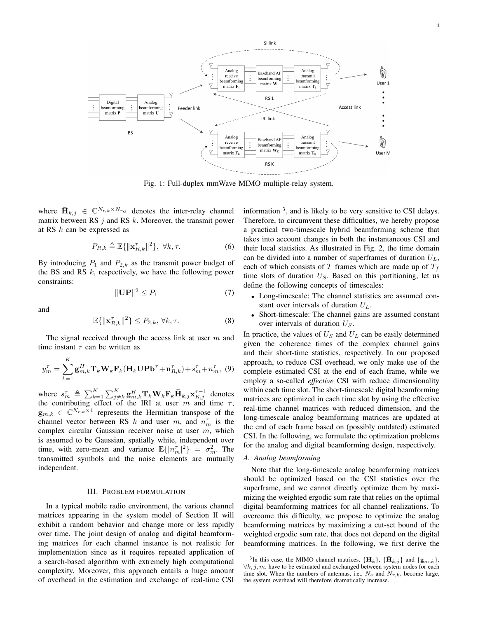

Fig. 1: Full-duplex mmWave MIMO multiple-relay system.

where  $\bar{\mathbf{H}}_{k,j} \in \mathbb{C}^{N_{r,k} \times N_{r,j}}$  denotes the inter-relay channel matrix between RS *j* and RS *k*. Moreover, the transmit power at RS *k* can be expressed as

$$
P_{R,k} \triangleq \mathbb{E}\{\|\mathbf{x}_{R,k}^{\tau}\|^2\}, \ \forall k, \tau.
$$
 (6)

By introducing  $P_1$  and  $P_{2,k}$  as the transmit power budget of the BS and RS *k*, respectively, we have the following power constraints:

$$
\|\mathbf{UP}\|^2 \le P_1 \tag{7}
$$

and

$$
\mathbb{E}\{\|\mathbf{x}_{R,k}^{\tau}\|^2\} \le P_{2,k}, \forall k, \tau.
$$
 (8)

The signal received through the access link at user *m* and time instant *τ* can be written as

$$
y_m^{\tau} = \sum_{k=1}^{K} \mathbf{g}_{m,k}^H \mathbf{T}_k \mathbf{W}_k \mathbf{F}_k (\mathbf{H}_k \mathbf{U} \mathbf{P} \mathbf{b}^{\tau} + \mathbf{n}_{R,k}^{\tau}) + s_m^{\tau} + n_m^{\tau}, (9)
$$

where  $s_m^{\tau} \triangleq \sum_{k=1}^K \sum_{j \neq k}^K \mathbf{g}_{m,k}^H \mathbf{T}_k \mathbf{W}_k \mathbf{F}_k \bar{\mathbf{H}}_{k,j} \mathbf{x}_{R,j}^{\tau-1}$  denotes the contributing effect of the IRI at user  $m$  and time  $\tau$ ,  $\mathbf{g}_{m,k} \in \mathbb{C}^{N_{r,k} \times 1}$  represents the Hermitian transpose of the channel vector between RS *k* and user *m*, and  $n_m^{\tau}$  is the complex circular Gaussian receiver noise at user *m*, which is assumed to be Gaussian, spatially white, independent over time, with zero-mean and variance  $\mathbb{E}\{|n_m^{\tau}|^2\} = \sigma_m^2$ . The transmitted symbols and the noise elements are mutually independent.

#### III. PROBLEM FORMULATION

In a typical mobile radio environment, the various channel matrices appearing in the system model of Section II will exhibit a random behavior and change more or less rapidly over time. The joint design of analog and digital beamforming matrices for each channel instance is not realistic for implementation since as it requires repeated application of a search-based algorithm with extremely high computational complexity. Moreover, this approach entails a huge amount of overhead in the estimation and exchange of real-time CSI

information <sup>3</sup>, and is likely to be very sensitive to CSI delays. Therefore, to circumvent these difficulties, we hereby propose a practical two-timescale hybrid beamforming scheme that takes into account changes in both the instantaneous CSI and their local statistics. As illustrated in Fig. 2, the time domain can be divided into a number of superframes of duration  $U_L$ , each of which consists of  $T$  frames which are made up of  $T_f$ time slots of duration *US*. Based on this partitioning, let us define the following concepts of timescales:

- *•* Long-timescale: The channel statistics are assumed constant over intervals of duration *UL*.
- *•* Short-timescale: The channel gains are assumed constant over intervals of duration *US*.

In practice, the values of  $U<sub>S</sub>$  and  $U<sub>L</sub>$  can be easily determined given the coherence times of the complex channel gains and their short-time statistics, respectively. In our proposed approach, to reduce CSI overhead, we only make use of the complete estimated CSI at the end of each frame, while we employ a so-called *effective* CSI with reduce dimensionality within each time slot. The short-timescale digital beamforming matrices are optimized in each time slot by using the effective real-time channel matrices with reduced dimension, and the long-timescale analog beamforming matrices are updated at the end of each frame based on (possibly outdated) estimated CSI. In the following, we formulate the optimization problems for the analog and digital beamforming design, respectively.

## *A. Analog beamforming*

Note that the long-timescale analog beamforming matrices should be optimized based on the CSI statistics over the superframe, and we cannot directly optimize them by maximizing the weighted ergodic sum rate that relies on the optimal digital beamforming matrices for all channel realizations. To overcome this difficulty, we propose to optimize the analog beamforming matrices by maximizing a cut-set bound of the weighted ergodic sum rate, that does not depend on the digital beamforming matrices. In the following, we first derive the

<sup>&</sup>lt;sup>3</sup>In this case, the MIMO channel matrices,  ${\{\mathbf{H}_k\}}$ ,  ${\{\mathbf{\bar{H}}_{k,j}\}}$  and  ${\{\mathbf{g}_{m,k}\}}$ , *∀k, j, m*, have to be estimated and exchanged between system nodes for each time slot. When the numbers of antennas, i.e.,  $N_s$  and  $N_{r,k}$ , become large, the system overhead will therefore dramatically increase.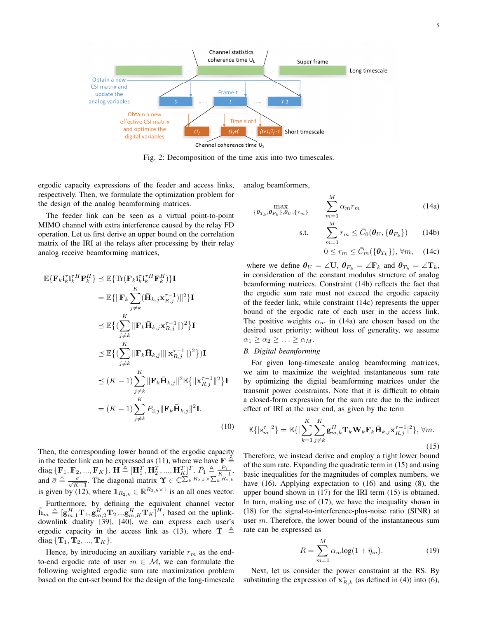

Fig. 2: Decomposition of the time axis into two timescales.

 $(0)$ 

ergodic capacity expressions of the feeder and access links, respectively. Then, we formulate the optimization problem for the design of the analog beamforming matrices.

The feeder link can be seen as a virtual point-to-point MIMO channel with extra interference caused by the relay FD operation. Let us first derive an upper bound on the correlation matrix of the IRI at the relays after processing by their relay analog receive beamforming matrices,

$$
\mathbb{E}\{\mathbf{F}_{k}\mathbf{i}_{k}^{\top H}\mathbf{F}_{k}^{H}\}\leq \mathbb{E}\{\text{Tr}(\mathbf{F}_{k}\mathbf{i}_{k}^{\top H}\mathbf{F}_{k}^{H})\}\mathbf{I}
$$
\n
$$
=\mathbb{E}\{\|\mathbf{F}_{k}\sum_{j\neq k}^{K}(\bar{\mathbf{H}}_{k,j}\mathbf{x}_{R,j}^{\tau-1})\|^{2}\}\mathbf{I}
$$
\n
$$
\leq \mathbb{E}\{(\sum_{j\neq k}^{K}\|\mathbf{F}_{k}\bar{\mathbf{H}}_{k,j}\mathbf{x}_{R,j}^{\tau-1}\|)^{2}\}\mathbf{I}
$$
\n
$$
\leq \mathbb{E}\{(\sum_{j\neq k}^{K}\|\mathbf{F}_{k}\bar{\mathbf{H}}_{k,j}\|\|\mathbf{x}_{R,j}^{\tau-1}\|)^{2}\}\mathbf{I}
$$
\n
$$
\leq (\sum_{j\neq k}^{K}\|\mathbf{F}_{k}\bar{\mathbf{H}}_{k,j}\|\|\mathbf{x}_{R,j}^{\tau-1}\|)^{2}\})\mathbf{I}
$$
\n
$$
\leq (K-1)\sum_{j\neq k}^{K}\|\mathbf{F}_{k}\bar{\mathbf{H}}_{k,j}\|^{2}\mathbb{E}\{\|\mathbf{x}_{R,j}^{\tau-1}\|^{2}\}\mathbf{I}
$$
\n
$$
=(K-1)\sum_{j\neq k}^{K}P_{2,j}\|\mathbf{F}_{k}\bar{\mathbf{H}}_{k,j}\|^{2}\mathbf{I}.
$$
\n(10)

Then, the corresponding lower bound of the ergodic capacity in the feeder link can be expressed as (11), where we have  $\mathbf{F} \triangleq$ diag  $\{ \mathbf{F}_1, \mathbf{F}_2, ..., \mathbf{F}_K \}, \ \mathbf{H} \triangleq [\mathbf{H}_1^T, \mathbf{H}_2^T, ..., \mathbf{H}_K^T]^T, \ \bar{P}_1 \triangleq \frac{\bar{P}_1}{K-1},$ and  $\bar{\sigma} \triangleq \frac{\sigma}{\sqrt{K-1}}$ . The diagonal matrix  $\Upsilon \in \mathbb{C}^{\sum_k R_{2,k} \times \sum_k R_{2,k}}$ is given by (12), where  $\mathbf{1}_{R_{2,k}} \in \mathbb{R}^{R_{2,k} \times 1}$  is an all ones vector. Furthermore, by defining the equivalent channel vector  $\tilde{\mathbf{h}}_m \triangleq [\mathbf{g}_{m,1}^H \mathbf{T}_1, \mathbf{g}_{m,2}^H \mathbf{T}_2 \dots \mathbf{g}_{m,K}^H \mathbf{T}_K]^H$ , based on the uplinkdownlink duality [39], [40], we can express each user's ergodic capacity in the access link as (13), where  $\mathbf{T} \triangleq$ 

Hence, by introducing an auxiliary variable *r<sup>m</sup>* as the endto-end ergodic rate of user  $m \in \mathcal{M}$ , we can formulate the following weighted ergodic sum rate maximization problem based on the cut-set bound for the design of the long-timescale

 $diag \{ {\bf T}_1, {\bf T}_2, ..., {\bf T}_K \}.$ 

analog beamformers,

$$
\max_{\{\boldsymbol{\theta}_{T_k}, \boldsymbol{\theta}_{F_k}\}, \boldsymbol{\theta}_U, \{r_m\}} \qquad \sum_{m=1}^M \alpha_m r_m \tag{14a}
$$

$$
\text{s.t.} \qquad \sum_{m=1}^{N} r_m \leq \bar{C}_0(\boldsymbol{\theta}_U, \{\boldsymbol{\theta}_{F_k}\}) \qquad (14b)
$$

$$
0 \le r_m \le \bar{C}_m(\{\boldsymbol{\theta}_{T_k}\}), \forall m, \quad (14c)
$$

where we define  $\theta_U = \angle \mathbf{U}, \ \theta_{F_k} = \angle \mathbf{F}_k$  and  $\theta_{T_k} = \angle \mathbf{T}_k$ , in consideration of the constant modulus structure of analog beamforming matrices. Constraint (14b) reflects the fact that the ergodic sum rate must not exceed the ergodic capacity of the feeder link, while constraint (14c) represents the upper bound of the ergodic rate of each user in the access link. The positive weights  $\alpha_m$  in (14a) are chosen based on the desired user priority; without loss of generality, we assume  $\alpha_1 \geq \alpha_2 \geq \ldots \geq \alpha_M$ .

## *B. Digital beamforming*

For given long-timescale analog beamforming matrices, we aim to maximize the weighted instantaneous sum rate by optimizing the digital beamforming matrices under the transmit power constraints. Note that it is difficult to obtain a closed-form expression for the sum rate due to the indirect effect of IRI at the user end, as given by the term

$$
\mathbb{E}\{|s_m^{\tau}|^2\} = \mathbb{E}\{|\sum_{k=1}^K \sum_{j\neq k}^K \mathbf{g}_{m,k}^H \mathbf{T}_k \mathbf{W}_k \mathbf{F}_k \bar{\mathbf{H}}_{k,j} \mathbf{x}_{R,j}^{\tau-1}|^2\}, \forall m.
$$
\n(15)

Therefore, we instead derive and employ a tight lower bound of the sum rate. Expanding the quadratic term in (15) and using basic inequalities for the magnitudes of complex numbers, we have (16). Applying expectation to (16) and using (8), the upper bound shown in (17) for the IRI term (15) is obtained. In turn, making use of (17), we have the inequality shown in (18) for the signal-to-interference-plus-noise ratio (SINR) at user *m*. Therefore, the lower bound of the instantaneous sum rate can be expressed as

$$
R = \sum_{m=1}^{M} \alpha_m \log(1 + \tilde{\eta}_m). \tag{19}
$$

Next, let us consider the power constraint at the RS. By substituting the expression of  $x_{R,k}^{\tau}$  (as defined in (4)) into (6),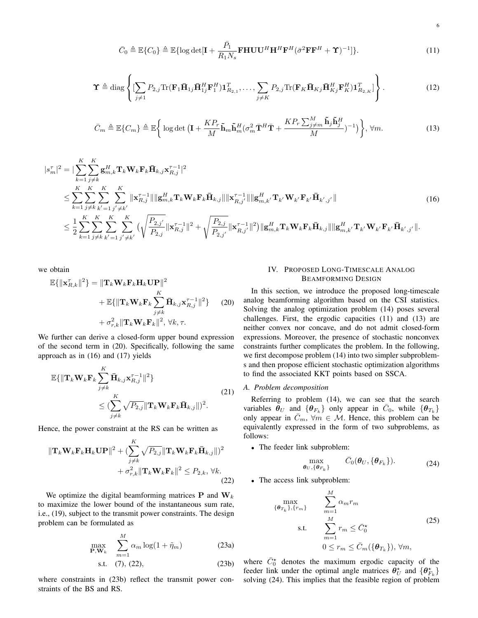$$
\bar{C}_0 \triangleq \mathbb{E}\{C_0\} \triangleq \mathbb{E}\{\log \det[\mathbf{I} + \frac{\bar{P}_1}{R_1 N_s} \mathbf{FHUU}^H \mathbf{H}^H \mathbf{F}^H (\bar{\sigma}^2 \mathbf{F} \mathbf{F}^H + \mathbf{\Upsilon})^{-1}]\}.
$$
\n(11)

$$
\mathbf{\Upsilon} \triangleq \text{diag}\left\{ \left[ \sum_{j\neq 1} P_{2,j} \text{Tr}(\mathbf{F}_1 \bar{\mathbf{H}}_{1j} \bar{\mathbf{H}}_{1j}^H \mathbf{F}_1^H) \mathbf{1}_{R_{2,1}}^T, \dots, \sum_{j\neq K} P_{2,j} \text{Tr}(\mathbf{F}_K \bar{\mathbf{H}}_{Kj} \bar{\mathbf{H}}_{Kj}^H \mathbf{F}_K^H) \mathbf{1}_{R_{2,K}}^T \right] \right\}.
$$
 (12)

$$
\bar{C}_m \triangleq \mathbb{E}\{C_m\} \triangleq \mathbb{E}\bigg\{\log \det\big(\mathbf{I} + \frac{KP_r}{M}\tilde{\mathbf{h}}_m\tilde{\mathbf{h}}_m^H(\sigma_m^2\bar{\mathbf{T}}^H\bar{\mathbf{T}} + \frac{KP_r\sum_{j\neq m}^M\tilde{\mathbf{h}}_j\tilde{\mathbf{h}}_j^H}{M})^{-1}\big)\bigg\}, \forall m. \tag{13}
$$

$$
|s_{m}^{\tau}|^{2} = |\sum_{k=1}^{K} \sum_{j \neq k}^{K} \mathbf{g}_{m,k}^{H} \mathbf{T}_{k} \mathbf{W}_{k} \mathbf{F}_{k} \bar{\mathbf{H}}_{k,j} \mathbf{x}_{R,j}^{\tau-1}|^{2} \n\leq \sum_{k=1}^{K} \sum_{j \neq k}^{K} \sum_{k'=1}^{K} \sum_{j' \neq k'}^{K} ||\mathbf{x}_{R,j}^{\tau-1}|| ||\mathbf{g}_{m,k}^{H} \mathbf{T}_{k} \mathbf{W}_{k} \mathbf{F}_{k} \bar{\mathbf{H}}_{k,j}|| ||\mathbf{x}_{R,j'}^{\tau-1}|| ||\mathbf{g}_{m,k'}^{H} \mathbf{T}_{k'} \mathbf{W}_{k'} \mathbf{F}_{k'} \bar{\mathbf{H}}_{k',j'}|| \n\leq \frac{1}{2} \sum_{k=1}^{K} \sum_{j \neq k}^{K} \sum_{k'=1}^{K} \sum_{j' \neq k'}^{K} \left( \sqrt{\frac{P_{2,j'}}{P_{2,j}} ||\mathbf{x}_{R,j}^{\tau-1}||^{2} + \sqrt{\frac{P_{2,j}}{P_{2,j'}} ||\mathbf{x}_{R,j'}^{\tau-1}||^{2}} \right) ||\mathbf{g}_{m,k}^{H} \mathbf{T}_{k} \mathbf{W}_{k} \mathbf{F}_{k} \bar{\mathbf{H}}_{k,j}|| ||\mathbf{g}_{m,k'}^{H} \mathbf{T}_{k'} \mathbf{W}_{k'} \mathbf{F}_{k'} \bar{\mathbf{H}}_{k',j'}||.
$$
\n(16)

we obtain

$$
\mathbb{E}\{\|\mathbf{x}_{R,k}^{\tau}\|^{2}\} = \|\mathbf{T}_{k}\mathbf{W}_{k}\mathbf{F}_{k}\mathbf{H}_{k}\mathbf{U}\mathbf{P}\|^{2} + \mathbb{E}\{\|\mathbf{T}_{k}\mathbf{W}_{k}\mathbf{F}_{k}\sum_{j\neq k}^{K}\bar{\mathbf{H}}_{k,j}\mathbf{x}_{R,j}^{\tau-1}\|^{2}\} \qquad (20) + \sigma_{r,k}^{2}\|\mathbf{T}_{k}\mathbf{W}_{k}\mathbf{F}_{k}\|^{2}, \forall k, \tau.
$$

We further can derive a closed-form upper bound expression of the second term in (20). Specifically, following the same approach as in (16) and (17) yields

$$
\mathbb{E}\{\|\mathbf{T}_{k}\mathbf{W}_{k}\mathbf{F}_{k}\sum_{j\neq k}^{K}\mathbf{\bar{H}}_{k,j}\mathbf{x}_{R,j}^{\tau-1}\|^{2}\}\n\leq (\sum_{j\neq k}^{K}\sqrt{P_{2,j}}\|\mathbf{T}_{k}\mathbf{W}_{k}\mathbf{F}_{k}\mathbf{\bar{H}}_{k,j}\|)^{2}.
$$
\n(21)

Hence, the power constraint at the RS can be written as

$$
\|\mathbf{T}_{k}\mathbf{W}_{k}\mathbf{F}_{k}\mathbf{H}_{k}\mathbf{U}\mathbf{P}\|^{2} + (\sum_{j\neq k}^{K} \sqrt{P_{2,j}} \|\mathbf{T}_{k}\mathbf{W}_{k}\mathbf{F}_{k}\bar{\mathbf{H}}_{k,j}\|)^{2} + \sigma_{r,k}^{2} \|\mathbf{T}_{k}\mathbf{W}_{k}\mathbf{F}_{k}\|^{2} \leq P_{2,k}, \forall k.
$$
\n(22)

We optimize the digital beamforming matrices **P** and **W***<sup>k</sup>* to maximize the lower bound of the instantaneous sum rate, i.e., (19), subject to the transmit power constraints. The design problem can be formulated as

$$
\max_{\mathbf{P}, \mathbf{W}_k} \quad \sum_{m=1}^M \alpha_m \log(1 + \tilde{\eta}_m) \tag{23a}
$$

s.t. 
$$
(7), (22),
$$
  $(23b)$ 

where constraints in (23b) reflect the transmit power constraints of the BS and RS.

## IV. PROPOSED LONG-TIMESCALE ANALOG BEAMFORMING DESIGN

In this section, we introduce the proposed long-timescale analog beamforming algorithm based on the CSI statistics. Solving the analog optimization problem (14) poses several challenges. First, the ergodic capacities (11) and (13) are neither convex nor concave, and do not admit closed-form expressions. Moreover, the presence of stochastic nonconvex constraints further complicates the problem. In the following, we first decompose problem (14) into two simpler subproblems and then propose efficient stochastic optimization algorithms to find the associated KKT points based on SSCA.

## *A. Problem decomposition*

Referring to problem (14), we can see that the search variables  $\hat{\theta}_U$  and  $\{\hat{\theta}_{F_k}\}$  only appear in  $\bar{C}_0$ , while  $\{\hat{\theta}_{T_k}\}$ only appear in  $\bar{C}_m$ ,  $\forall m \in \mathcal{M}$ . Hence, this problem can be equivalently expressed in the form of two subproblems, as follows:

*•* The feeder link subproblem:

$$
\max_{\boldsymbol{\theta}_U,\{\boldsymbol{\theta}_{F_k}\}} \qquad \bar{C}_0(\boldsymbol{\theta}_U,\{\boldsymbol{\theta}_{F_k}\}). \tag{24}
$$

*•* The access link subproblem:

$$
\max_{\{\boldsymbol{\theta}_{T_k}\},\{r_m\}} \sum_{m=1}^{M} \alpha_m r_m
$$
\ns.t. 
$$
\sum_{m=1}^{M} r_m \leq \bar{C}_0^*
$$
\n
$$
0 \leq r_m \leq \bar{C}_m(\{\boldsymbol{\theta}_{T_k}\}), \forall m,
$$
\n(25)

where  $\bar{C}_0^*$  denotes the maximum ergodic capacity of the feeder link under the optimal angle matrices  $\theta^*_{U}$  and  $\{\theta^*_{F_k}\}$ solving (24). This implies that the feasible region of problem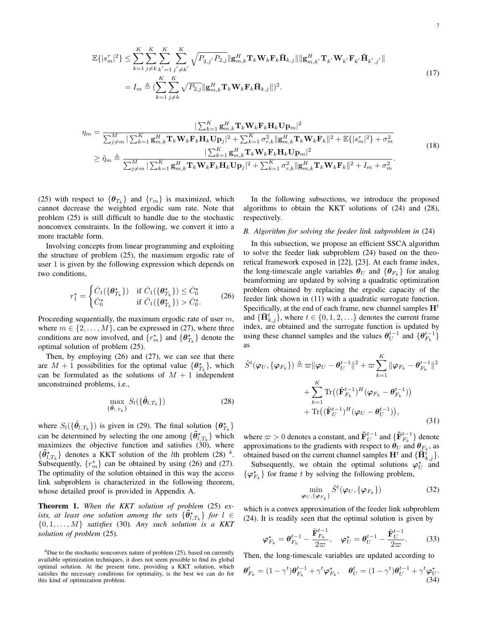$$
\mathbb{E}\{|s_m^{\tau}|^2\} \leq \sum_{k=1}^K \sum_{j \neq k}^K \sum_{k'=1}^K \sum_{j' \neq k'}^K \sqrt{P_{2,j'} P_{2,j}} \|\mathbf{g}_{m,k}^H \mathbf{T}_k \mathbf{W}_k \mathbf{F}_k \mathbf{\bar{H}}_{k,j}\| \|\mathbf{g}_{m,k'}^H \mathbf{T}_{k'} \mathbf{W}_{k'} \mathbf{F}_{k'} \mathbf{\bar{H}}_{k',j'}\|
$$
\n
$$
= I_m \triangleq (\sum_{k=1}^K \sum_{j \neq k}^K \sqrt{P_{2,j}} \|\mathbf{g}_{m,k}^H \mathbf{T}_k \mathbf{W}_k \mathbf{F}_k \mathbf{\bar{H}}_{k,j}\|)^2.
$$
\n(17)

$$
\eta_m = \frac{|\sum_{k=1}^K \mathbf{g}_{m,k}^H \mathbf{T}_k \mathbf{W}_k \mathbf{F}_k \mathbf{H}_k \mathbf{U} \mathbf{p}_m|^2}{\sum_{j \neq m}^M |\sum_{k=1}^K \mathbf{g}_{m,k}^H \mathbf{T}_k \mathbf{W}_k \mathbf{F}_k \mathbf{H}_k \mathbf{U} \mathbf{p}_j|^2 + \sum_{k=1}^K \sigma_{r,k}^2 ||\mathbf{g}_{m,k}^H \mathbf{T}_k \mathbf{W}_k \mathbf{F}_k||^2 + \mathbb{E}\{|s_m^T|^2\} + \sigma_m^2} \n\geq \tilde{\eta}_m \triangleq \frac{|\sum_{k=1}^K \mathbf{g}_{m,k}^H \mathbf{T}_k \mathbf{W}_k \mathbf{F}_k \mathbf{H}_k \mathbf{U} \mathbf{p}_m|^2}{\sum_{k=1}^M \mathbf{g}_{m,k}^H \mathbf{T}_k \mathbf{W}_k \mathbf{F}_k \mathbf{H}_k \mathbf{U} \mathbf{p}_j|^2 + \sum_{k=1}^K \sigma_{r,k}^2 ||\mathbf{g}_{m,k}^H \mathbf{T}_k \mathbf{W}_k \mathbf{F}_k||^2 + I_m + \sigma_m^2}.
$$
\n(18)

(25) with respect to  $\{\theta_{T_k}\}\$  and  $\{r_m\}\$ is maximized, which cannot decrease the weighted ergodic sum rate. Note that problem (25) is still difficult to handle due to the stochastic nonconvex constraints. In the following, we convert it into a more tractable form.

Involving concepts from linear programming and exploiting the structure of problem (25), the maximum ergodic rate of user 1 is given by the following expression which depends on two conditions,

$$
r_1^* = \begin{cases} \bar{C}_1(\{\theta_{T_k}^*\}) & \text{if } \bar{C}_1(\{\theta_{T_k}^*\}) \leq \bar{C}_0^* \\ \bar{C}_0^* & \text{if } \bar{C}_1(\{\theta_{T_k}^*\}) > \bar{C}_0^*. \end{cases}
$$
 (26)

Proceeding sequentially, the maximum ergodic rate of user *m*, where  $m \in \{2, \ldots, M\}$ , can be expressed in (27), where three conditions are now involved, and  $\{r_m^*\}$  and  $\{\theta_{T_k}^*\}$  denote the optimal solution of problem (25).

Then, by employing (26) and (27), we can see that there are  $M + 1$  possibilities for the optimal value  ${\theta_{T_k}^*}$ , which can be formulated as the solutions of  $M + 1$  independent unconstrained problems, i.e.,

$$
\max_{\{\tilde{\boldsymbol{\theta}}_{l,T_k}\}} S_l(\{\tilde{\boldsymbol{\theta}}_{l,T_k}\})
$$
\n(28)

where  $S_l(\{\tilde{\theta}_{l,T_k}\})$  is given in (29). The final solution  $\{\theta_{T_k}^*\}$ can be determined by selecting the one among  ${\lbrace \tilde{\theta}_{l,T_k}^{\star} \rbrace}$  which maximizes the objective function and satisfies (30), where  $\{\tilde{\theta}_{l,T_k}^{\star}\}\)$  denotes a KKT solution of the *l*th problem (28)<sup>4</sup>. Subsequently,  $\{r_m^*\}$  can be obtained by using (26) and (27). The optimality of the solution obtained in this way the access link subproblem is characterized in the following theorem, whose detailed proof is provided in Appendix A.

Theorem 1. *When the KKT solution of problem* (25) *exists, at least one solution among the sets*  $\{\tilde{\theta}^{\star}_{l,T_k}\}$  *for*  $l \in$ *{*0*,* 1*, . . . , M} satisfies* (30)*. Any such solution is a KKT solution of problem* (25)*.*

In the following subsections, we introduce the proposed algorithms to obtain the KKT solutions of (24) and (28), respectively.

## *B. Algorithm for solving the feeder link subproblem in* (24)

In this subsection, we propose an efficient SSCA algorithm to solve the feeder link subproblem (24) based on the theoretical framework exposed in [22], [23]. At each frame index, the long-timescale angle variables  $\theta_U$  and  $\{\theta_{F_k}\}\$  for analog beamforming are updated by solving a quadratic optimization problem obtained by replacing the ergodic capacity of the feeder link shown in (11) with a quadratic surrogate function. Specifically, at the end of each frame, new channel samples  $H<sup>t</sup>$ and  ${\{\mathbf{\bar{H}}_{k,j}^t\}}$ , where  $t \in \{0, 1, 2, \ldots\}$  denotes the current frame index, are obtained and the surrogate function is updated by using these channel samples and the values  $\theta_U^{t-1}$  and  $\{\theta_{F_k}^{t-1}\}$ as

$$
\tilde{S}^{t}(\varphi_{U}, \{\varphi_{F_{k}}\}) \triangleq \varpi \|\varphi_{U} - \theta_{U}^{t-1}\|^{2} + \varpi \sum_{k=1}^{K} \|\varphi_{F_{k}} - \theta_{F_{k}}^{t-1}\|^{2}
$$
\n
$$
+ \sum_{k=1}^{K} \text{Tr}((\tilde{\mathbf{F}}_{F_{k}}^{t-1})^{H}(\varphi_{F_{k}} - \theta_{F_{k}}^{t-1}))
$$
\n
$$
+ \text{Tr}((\tilde{\mathbf{F}}_{U}^{t-1})^{H}(\varphi_{U} - \theta_{U}^{t-1})), \tag{31}
$$

where  $\varpi > 0$  denotes a constant, and  $\tilde{\mathbf{F}}_U^{t-1}$  and  $\{\tilde{\mathbf{F}}_{F_k}^{t-1}\}$  denote approximations to the gradients with respect to  $\theta_U$  and  $\theta_{F_k}$ , as obtained based on the current channel samples  $\mathbf{H}^t$  and  $\{\bar{\mathbf{H}}_{k,j}^t\}$ .

Subsequently, we obtain the optimal solutions  $\varphi_U^*$  and  $\{\varphi_{F_k}^{\star}\}\$  for frame *t* by solving the following problem,

$$
\min_{\boldsymbol{\varphi}_U, \{\boldsymbol{\varphi}_{F_k}\}} \tilde{S}^t(\boldsymbol{\varphi}_U, \{\boldsymbol{\varphi}_{F_k}\})
$$
\n(32)

which is a convex approximation of the feeder link subproblem (24). It is readily seen that the optimal solution is given by

$$
\varphi_{F_k}^* = \theta_{F_k}^{t-1} - \frac{\tilde{\mathbf{F}}_{F_k}^{t-1}}{2\varpi}, \quad \varphi_U^* = \theta_U^{t-1} - \frac{\tilde{\mathbf{F}}_U^{t-1}}{2\varpi}.
$$
 (33)

Then, the long-timescale variables are updated according to

$$
\boldsymbol{\theta}_{F_k}^t = (1 - \gamma^t) \boldsymbol{\theta}_{F_k}^{t-1} + \gamma^t \boldsymbol{\varphi}_{F_k}^*, \quad \boldsymbol{\theta}_U^t = (1 - \gamma^t) \boldsymbol{\theta}_U^{t-1} + \gamma^t \boldsymbol{\varphi}_U^*,
$$
\n(34)

<sup>4</sup>Due to the stochastic nonconvex nature of problem (25), based on currently available optimization techniques, it does not seem possible to find its global optimal solution. At the present time, providing a KKT solution, which satisfies the necessary conditions for optimality, is the best we can do for this kind of optimization problem.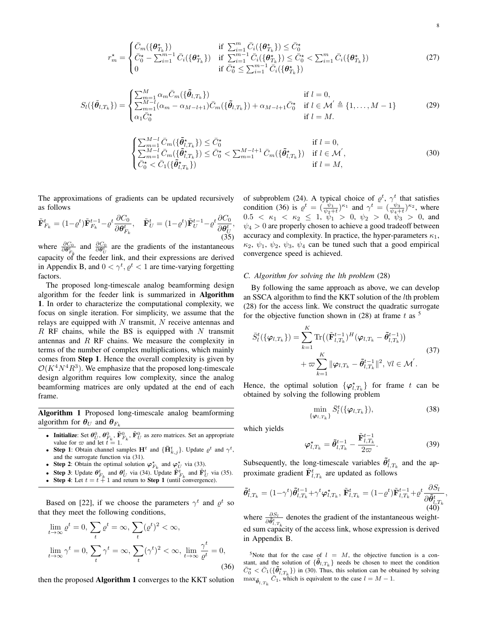$$
r_m^* = \begin{cases} \bar{C}_m(\{\theta_{T_k}^*\}) & \text{if } \sum_{i=1}^m \bar{C}_i(\{\theta_{T_k}^*\}) \le \bar{C}_0^*\\ \bar{C}_0^* - \sum_{i=1}^{m-1} \bar{C}_i(\{\theta_{T_k}^*\}) & \text{if } \sum_{i=1}^{m-1} \bar{C}_i(\{\theta_{T_k}^*\}) \le \bar{C}_0^* < \sum_{i=1}^m \bar{C}_i(\{\theta_{T_k}^*\})\\ 0 & \text{if } \bar{C}_0^* \le \sum_{i=1}^{m-1} \bar{C}_i(\{\theta_{T_k}^*\}) \end{cases} \tag{27}
$$

$$
S_{l}(\{\tilde{\theta}_{l,T_{k}}\}) = \begin{cases} \sum_{m=1}^{M} \alpha_{m} \bar{C}_{m}(\{\tilde{\theta}_{l,T_{k}}\}) & \text{if } l=0, \\ \sum_{m=1}^{M-l} (\alpha_{m} - \alpha_{M-l+1}) \bar{C}_{m}(\{\tilde{\theta}_{l,T_{k}}\}) + \alpha_{M-l+1} \bar{C}_{0}^{\star} & \text{if } l \in \mathcal{M} \triangleq \{1,\ldots,M-1\} \\ \alpha_{1} \bar{C}_{0}^{\star} & \text{if } l=M. \end{cases}
$$
(29)

$$
\begin{cases} \sum_{m=1}^{M-l} \bar{C}_m(\{\tilde{\theta}_{l,T_k}^{\star}\}) \leq \bar{C}_0^{\star} & \text{if } l=0, \\ \sum_{m=1}^{M-l} \bar{C}_m(\{\tilde{\theta}_{l,T_k}^{\star}\}) \leq \bar{C}_0^{\star} < \sum_{m=1}^{M-l+1} \bar{C}_m(\{\tilde{\theta}_{l,T_k}^{\star}\}) & \text{if } l \in \mathcal{M}', \\ \bar{C}_0^{\star} < \bar{C}_1(\{\tilde{\theta}_{l,T_k}^{\star}\}) & \text{if } l=M, \end{cases}
$$
(30)

The approximations of gradients can be updated recursively as follows

$$
\tilde{\mathbf{F}}_{F_k}^t = (1 - \varrho^t) \tilde{\mathbf{F}}_{F_k}^{t-1} - \varrho^t \frac{\partial C_0}{\partial \theta_{F_k}^t}, \quad \tilde{\mathbf{F}}_U^t = (1 - \varrho^t) \tilde{\mathbf{F}}_U^{t-1} - \varrho^t \frac{\partial C_0}{\partial \theta_U^t},\tag{35}
$$

where  $\frac{\partial C_0}{\partial \theta_{t_k}^t}$  and  $\frac{\partial C_0}{\partial \theta_t^t}$  are the gradients of the instantaneous capacity of the feeder link, and their expressions are derived in Appendix B, and  $0 < \gamma^t, \varrho^t < 1$  are time-varying forgetting factors.

The proposed long-timescale analog beamforming design algorithm for the feeder link is summarized in Algorithm 1. In order to characterize the computational complexity, we focus on single iteration. For simplicity, we assume that the relays are equipped with *N* transmit, *N* receive antennas and *R* RF chains, while the BS is equipped with *N* transmit antennas and *R* RF chains. We measure the complexity in terms of the number of complex multiplications, which mainly comes from Step 1. Hence the overall complexity is given by  $O(K^4 N^4 R^3)$ . We emphasize that the proposed long-timescale design algorithm requires low complexity, since the analog beamforming matrices are only updated at the end of each frame.

Algorithm 1 Proposed long-timescale analog beamforming algorithm for  $\theta_U$  and  $\theta_{F_k}$ 

- Initialize: Set  $\theta_U^0$ ,  $\theta_{F_k}^0$ ,  $\tilde{\mathbf{F}}_{F_k}^0$ ,  $\tilde{\mathbf{F}}_U^0$  as zero matrices. Set an appropriate value for  $\varpi$  and let  $t = 1$ .
- Step 1: Obtain channel samples  $\mathbf{H}^t$  and  $\{\bar{\mathbf{H}}_{k,j}^t\}$ . Update  $\varrho^t$  and  $\gamma^t$ , and the surrogate function via (31).
- Step 2: Obtain the optimal solution  $\varphi_{F_k}^*$  and  $\varphi_U^*$  via (33).
- Step 3: Update  $\theta_{F_k}^t$  and  $\theta_U^t$  via (34). Update  $\tilde{\mathbf{F}}_{F_k}^t$  and  $\tilde{\mathbf{F}}_U^t$  via (35).
- **Step 4:** Let  $t = t + 1$  and return to **Step 1** (until convergence).

Based on [22], if we choose the parameters  $\gamma^t$  and  $\varrho^t$  so that they meet the following conditions,

$$
\lim_{t \to \infty} \varrho^t = 0, \sum_t \varrho^t = \infty, \sum_t (\varrho^t)^2 < \infty,
$$
\n
$$
\lim_{t \to \infty} \gamma^t = 0, \sum_t \gamma^t = \infty, \sum_t (\gamma^t)^2 < \infty, \lim_{t \to \infty} \frac{\gamma^t}{\varrho^t} = 0,
$$
\n
$$
(36)
$$

then the proposed Algorithm 1 converges to the KKT solution

of subproblem (24). A typical choice of  $\varrho^t$ ,  $\gamma^t$  that satisfies condition (36) is  $\varrho^t = \left(\frac{\psi_1}{\psi_2+t}\right)^{\kappa_1}$  and  $\gamma^t = \left(\frac{\psi_3}{\psi_4+t}\right)^{\kappa_2}$ , where  $0.5 < \kappa_1 < \kappa_2 \leq 1$ ,  $\psi_1 > 0$ ,  $\psi_2 > 0$ ,  $\psi_3 > 0$ , and  $\psi_4 > 0$  are properly chosen to achieve a good tradeoff between accuracy and complexity. In practice, the hyper-parameters  $\kappa_1$ ,  $\kappa_2$ ,  $\psi_1$ ,  $\psi_2$ ,  $\psi_3$ ,  $\psi_4$  can be tuned such that a good empirical convergence speed is achieved.

## *C. Algorithm for solving the lth problem* (28)

By following the same approach as above, we can develop an SSCA algorithm to find the KKT solution of the *l*th problem (28) for the access link. We construct the quadratic surrogate for the objective function shown in  $(28)$  at frame t as <sup>5</sup>

$$
\bar{S}_{l}^{t}(\{\varphi_{l,T_{k}}\}) = \sum_{k=1}^{K} \text{Tr}\big((\tilde{\mathbf{F}}_{l,T_{k}}^{t-1})^{H}(\varphi_{l,T_{k}} - \tilde{\boldsymbol{\theta}}_{l,T_{k}}^{t-1})\big) \n+ \varpi \sum_{k=1}^{K} \|\varphi_{l,T_{k}} - \tilde{\boldsymbol{\theta}}_{l,T_{k}}^{t-1}\|^{2}, \forall l \in \mathcal{M}^{'}.
$$
\n(37)

Hence, the optimal solution  $\{\varphi_{l,T_k}^{\star}\}\)$  for frame *t* can be obtained by solving the following problem

$$
\min_{\{\boldsymbol{\varphi}_{l,T_k}\}} \bar{S}_l^t(\{\boldsymbol{\varphi}_{l,T_k}\}),\tag{38}
$$

which yields

$$
\varphi_{l,T_k}^{\star} = \tilde{\theta}_{l,T_k}^{t-1} - \frac{\mathbf{F}_{l,T_k}^{t-1}}{2\varpi}.
$$
\n(39)

*,*

**F**˜*<sup>t</sup>−*<sup>1</sup>

Subsequently, the long-timescale variables  $\tilde{\theta}^t_{l,T_k}$  and the approximate gradient  $\tilde{\mathbf{F}}_{l,T_k}^t$  are updated as follows

$$
\tilde{\boldsymbol{\theta}}_{l,T_k}^t = (1 - \gamma^t) \tilde{\boldsymbol{\theta}}_{l,T_k}^{t-1} + \gamma^t \boldsymbol{\varphi}_{l,T_k}^{\star}, \ \tilde{\mathbf{F}}_{l,T_k}^t = (1 - \varrho^t) \tilde{\mathbf{F}}_{l,T_k}^{t-1} + \varrho^t \frac{\partial S_l}{\partial \tilde{\boldsymbol{\theta}}_{l,T_k}^t}
$$
\n
$$
(40)
$$

where  $\frac{\partial S_l}{\partial \theta_{i,T_k}^t}$  denotes the gradient of the instantaneous weighted sum capacity of the access link, whose expression is derived in Appendix B.

<sup>5</sup>Note that for the case of  $l = M$ , the objective function is a constant, and the solution of  ${\lbrace \tilde{\theta}_{l,T_k} \rbrace}$  needs be chosen to meet the condition  $\bar{C}_0^* < \bar{C}_1(\{\tilde{\theta}_{l,T_k}^*\})$  in (30). Thus, this solution can be obtained by solving  $\max_{\mathbf{\tilde{\theta}}_{l,T_k}} \bar{C}_1$ , which is equivalent to the case  $l = M - 1$ .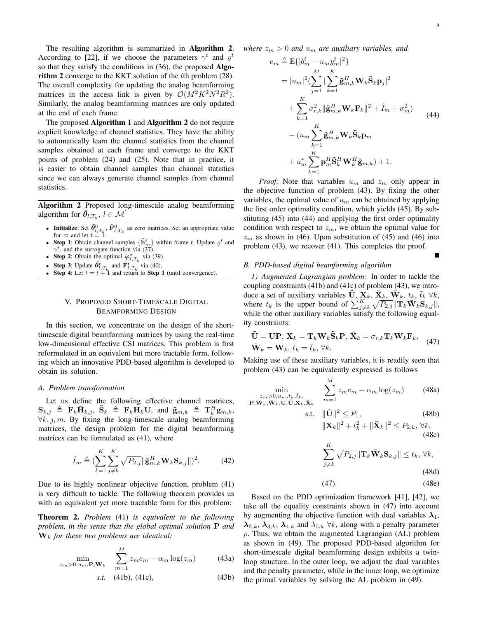The resulting algorithm is summarized in Algorithm 2. According to [22], if we choose the parameters  $\gamma^t$  and  $\varrho^t$ so that they satisfy the conditions in (36), the proposed Algorithm 2 converge to the KKT solution of the *l*th problem (28). The overall complexity for updating the analog beamforming matrices in the access link is given by  $O(M^2K^2N^2R^2)$ . Similarly, the analog beamforming matrices are only updated at the end of each frame.

The proposed Algorithm 1 and Algorithm 2 do not require explicit knowledge of channel statistics. They have the ability to automatically learn the channel statistics from the channel samples obtained at each frame and converge to the KKT points of problem (24) and (25). Note that in practice, it is easier to obtain channel samples than channel statistics since we can always generate channel samples from channel statistics.

Algorithm 2 Proposed long-timescale analog beamforming algorithm for  $\tilde{\theta}_{l,T_k}$ ,  $l \in \mathcal{M}'$ 

- **•** Initialize: Set  $\tilde{\theta}^0_{l,T_k}$ ,  $\tilde{\mathbf{F}}^0_{l,T_k}$  as zero matrices. Set an appropriate value for  $\varpi$  and let  $t = 1$ .
- Step 1: Obtain channel samples  $\{\tilde{\mathbf{h}}_m^t\}$  within frame *t*. Update  $\varrho^t$  and  $\gamma^t$ , and the surrogate function via (37).
- Step 2: Obtain the optimal  $\varphi_{l,T_k}^{\star}$  via (39).
- Step 3: Update  $\tilde{\theta}^t_{l,T_k}$  and  $\tilde{\mathbf{F}}^t_{l,T_k}$  via (40).
- **Step 4:** Let  $t = t + 1$  and return to **Step 1** (until convergence).

# V. PROPOSED SHORT-TIMESCALE DIGITAL BEAMFORMING DESIGN

In this section, we concentrate on the design of the shorttimescale digital beamforming matrices by using the real-time low-dimensional effective CSI matrices. This problem is first reformulated in an equivalent but more tractable form, following which an innovative PDD-based algorithm is developed to obtain its solution.

## *A. Problem transformation*

Let us define the following effective channel matrices,  $\mathbf{S}_{k,j}$   $\triangleq$   $\mathbf{F}_k \bar{\mathbf{H}}_{k,j}$ ,  $\tilde{\mathbf{S}}_k$   $\triangleq$   $\mathbf{F}_k \mathbf{H}_k \mathbf{U}$ , and  $\tilde{\mathbf{g}}_{m,k}$   $\triangleq$   $\mathbf{T}_k^H \mathbf{g}_{m,k}$ , *∀k, j, m*. By fixing the long-timescale analog beamforming matrices, the design problem for the digital beamforming matrices can be formulated as (41), where

$$
\tilde{I}_m \triangleq (\sum_{k=1}^K \sum_{j \neq k}^K \sqrt{P_{2,j}} ||\tilde{\mathbf{g}}_{m,k}^H \mathbf{W}_k \mathbf{S}_{k,j}||)^2.
$$
 (42)

Due to its highly nonlinear objective function, problem (41) is very difficult to tackle. The following theorem provides us with an equivalent yet more tractable form for this problem:

Theorem 2. *Problem* (41) *is equivalent to the following problem, in the sense that the global optimal solution* **P** *and* **W***<sup>k</sup> for these two problems are identical:*

$$
\min_{z_m > 0, u_m, \mathbf{P}, \mathbf{W}_k} \quad \sum_{m=1}^M z_m e_m - \alpha_m \log(z_m) \tag{43a}
$$

$$
s.t. \quad (41b), (41c), \tag{43b}
$$

*where*  $z_m > 0$  *and*  $u_m$  *are auxiliary variables, and* 

$$
e_m \triangleq \mathbb{E}\{|b_m^t - u_m y_m^t|^2\}
$$
  
\n
$$
= |u_m|^2 (\sum_{j=1}^M |\sum_{k=1}^K \tilde{\mathbf{g}}_{m,k}^H \mathbf{W}_k \tilde{\mathbf{S}}_k \mathbf{p}_j|^2
$$
  
\n
$$
+ \sum_{k=1}^K \sigma_{r,k}^2 ||\tilde{\mathbf{g}}_{m,k}^H \mathbf{W}_k \mathbf{F}_k||^2 + \tilde{I}_m + \sigma_m^2)
$$
  
\n
$$
- (u_m \sum_{k=1}^K \tilde{\mathbf{g}}_{m,k}^H \mathbf{W}_k \tilde{\mathbf{S}}_k \mathbf{p}_m
$$
  
\n
$$
+ u_m^* \sum_{k=1}^K \mathbf{p}_m^H \tilde{\mathbf{S}}_k^H \mathbf{W}_k^H \tilde{\mathbf{g}}_{m,k}) + 1.
$$
 (44)

*Proof:* Note that variables *u<sup>m</sup>* and *z<sup>m</sup>* only appear in the objective function of problem (43). By fixing the other variables, the optimal value of  $u_m$  can be obtained by applying the first order optimality condition, which yields (45). By substituting (45) into (44) and applying the first order optimality condition with respect to  $z_m$ , we obtain the optimal value for  $z_m$  as shown in (46). Upon substitution of (45) and (46) into problem (43), we recover (41). This completes the proof.

### *B. PDD-based digital beamforming algorithm*

*1) Augmented Lagrangian problem:* In order to tackle the coupling constraints (41b) and (41c) of problem (43), we introduce a set of auxiliary variables  $\tilde{\mathbf{U}}, \mathbf{X}_k$ ,  $\bar{\mathbf{X}}_k$ ,  $\bar{\mathbf{W}}_k$ ,  $t_k$ ,  $\bar{t}_k$   $\forall k$ , where  $t_k$  is the upper bound of  $\sum_{j \neq k}^{K} \sqrt{P_{2,j}} ||\mathbf{T}_k \mathbf{W}_k \mathbf{S}_{k,j}||$ , while the other auxiliary variables satisfy the following equality constraints:

$$
\tilde{\mathbf{U}} = \mathbf{U}\mathbf{P}, \mathbf{X}_k = \mathbf{T}_k \mathbf{W}_k \tilde{\mathbf{S}}_k \mathbf{P}, \bar{\mathbf{X}}_k = \sigma_{r,k} \mathbf{T}_k \mathbf{W}_k \mathbf{F}_k, \n\bar{\mathbf{W}}_k = \mathbf{W}_k, t_k = \bar{t}_k, \forall k.
$$
\n(47)

Making use of these auxiliary variables, it is readily seen that problem (43) can be equivalently expressed as follows

$$
\min_{\substack{z_m > 0, u_m, t_k, \bar{t}_k, \\ \mathbf{P}, \mathbf{W}_k, \bar{\mathbf{W}}_k, \mathbf{U}, \tilde{\mathbf{U}}, \mathbf{X}_k, \bar{\mathbf{X}}_k}} \quad \sum_{m=1}^M z_m e_m - \alpha_m \log(z_m) \quad (48a)
$$

$$
\text{s.t.} \quad \|\tilde{\mathbf{U}}\|^2 \le P_1,\tag{48b}
$$

 $||\mathbf{X}_k||^2 + \bar{t}_k^2 + ||\mathbf{\bar{X}}_k||^2 \leq P_{2,k}, \forall k,$ (48c)

$$
\sum_{j \neq k}^{K} \sqrt{P_{2,j}} \| \mathbf{T}_k \mathbf{\bar{W}}_k \mathbf{S}_{k,j} \| \le t_k, \forall k,
$$
\n(48d)

$$
(47). \t(48e)
$$

Based on the PDD optimization framework [41], [42], we take all the equality constraints shown in (47) into account by augmenting the objective function with dual variables  $\lambda_1$ ,  $\lambda_{2,k}$ ,  $\lambda_{3,k}$ ,  $\lambda_{4,k}$  and  $\lambda_{5,k}$   $\forall k$ , along with a penalty parameter *ρ*. Thus, we obtain the augmented Lagrangian (AL) problem as shown in (49). The proposed PDD-based algorithm for short-timescale digital beamforming design exhibits a twinloop structure. In the outer loop, we adjust the dual variables and the penalty parameter, while in the inner loop, we optimize the primal variables by solving the AL problem in (49).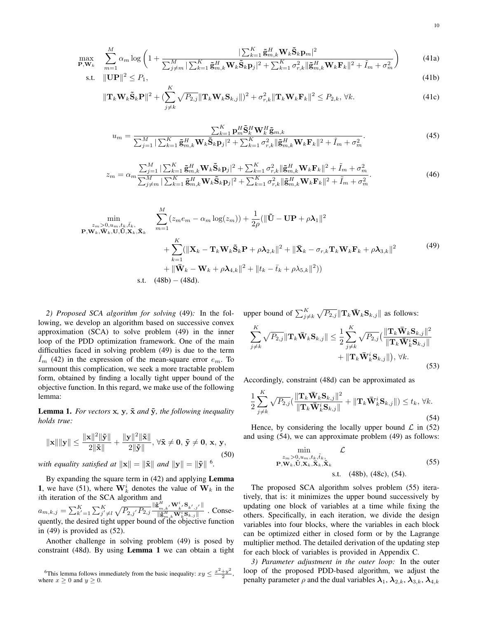$$
\max_{\mathbf{P}, \mathbf{W}_k} \quad \sum_{m=1}^M \alpha_m \log \left( 1 + \frac{|\sum_{k=1}^K \tilde{\mathbf{g}}_{m,k}^H \mathbf{W}_k \tilde{\mathbf{S}}_k \mathbf{p}_m|^2}{\sum_{j \neq m}^M |\sum_{k=1}^K \tilde{\mathbf{g}}_{m,k}^H \mathbf{W}_k \tilde{\mathbf{S}}_k \mathbf{p}_j|^2 + \sum_{k=1}^K \sigma_{r,k}^2 ||\tilde{\mathbf{g}}_{m,k}^H \mathbf{W}_k \mathbf{F}_k||^2 + \tilde{I}_m + \sigma_m^2} \right)
$$
(41a)

$$
\text{s.t. } \|\mathbf{UP}\|^2 \le P_1,\tag{41b}
$$

$$
\|\mathbf{T}_{k}\mathbf{W}_{k}\tilde{\mathbf{S}}_{k}\mathbf{P}\|^{2} + \left(\sum_{j\neq k}^{N} \sqrt{P_{2,j}}\|\mathbf{T}_{k}\mathbf{W}_{k}\mathbf{S}_{k,j}\|\right)^{2} + \sigma_{r,k}^{2}\|\mathbf{T}_{k}\mathbf{W}_{k}\mathbf{F}_{k}\|^{2} \le P_{2,k}, \forall k.
$$
\n(41c)

$$
u_m = \frac{\sum_{k=1}^{K} \mathbf{p}_m^H \tilde{\mathbf{S}}_k^H \mathbf{W}_k^H \tilde{\mathbf{g}}_{m,k}}{\sum_{j=1}^{M} |\sum_{k=1}^{K} \tilde{\mathbf{g}}_{m,k}^H \mathbf{W}_k \tilde{\mathbf{S}}_k \mathbf{p}_j|^2 + \sum_{k=1}^{K} \sigma_{r,k}^2 \|\tilde{\mathbf{g}}_{m,k}^H \mathbf{W}_k \mathbf{F}_k\|^2 + \tilde{I}_m + \sigma_m^2}.
$$
(45)

$$
z_m = \alpha_m \frac{\sum_{j=1}^M |\sum_{k=1}^K \tilde{\mathbf{g}}_{m,k}^H \mathbf{W}_k \tilde{\mathbf{S}}_k \mathbf{p}_j|^2 + \sum_{k=1}^K \sigma_{r,k}^2 \|\tilde{\mathbf{g}}_{m,k}^H \mathbf{W}_k \mathbf{F}_k\|^2 + \tilde{I}_m + \sigma_m^2}{\sum_{j \neq m}^M |\sum_{k=1}^K \tilde{\mathbf{g}}_{m,k}^H \mathbf{W}_k \tilde{\mathbf{S}}_k \mathbf{p}_j|^2 + \sum_{k=1}^K \sigma_{r,k}^2 \|\tilde{\mathbf{g}}_{m,k}^H \mathbf{W}_k \mathbf{F}_k\|^2 + \tilde{I}_m + \sigma_m^2}.
$$
(46)

$$
\min_{\substack{z_m > 0, u_m, t_k, \bar{t}_k, \\ \mathbf{P}, \mathbf{W}_k, \mathbf{W}_k, \mathbf{U}, \tilde{\mathbf{U}}, \mathbf{X}_k, \tilde{\mathbf{X}}_k}} \quad \sum_{m=1}^M (z_m e_m - \alpha_m \log(z_m)) + \frac{1}{2\rho} (\|\tilde{\mathbf{U}} - \mathbf{U}\mathbf{P} + \rho \lambda_1\|^2 \n+ \sum_{k=1}^K (\|\mathbf{X}_k - \mathbf{T}_k \mathbf{W}_k \tilde{\mathbf{S}}_k \mathbf{P} + \rho \lambda_{2,k}\|^2 + \|\bar{\mathbf{X}}_k - \sigma_{r,k} \mathbf{T}_k \mathbf{W}_k \mathbf{F}_k + \rho \lambda_{3,k}\|^2 \n+ \|\bar{\mathbf{W}}_k - \mathbf{W}_k + \rho \lambda_{4,k}\|^2 + \|t_k - \bar{t}_k + \rho \lambda_{5,k}\|^2))
$$
\ns.t. (48b) – (48d).

*2) Proposed SCA algorithm for solving* (49)*:* In the following, we develop an algorithm based on successive convex approximation (SCA) to solve problem (49) in the inner loop of the PDD optimization framework. One of the main difficulties faced in solving problem (49) is due to the term  $I_m$  (42) in the expression of the mean-square error  $e_m$ . To surmount this complication, we seek a more tractable problem form, obtained by finding a locally tight upper bound of the objective function. In this regard, we make use of the following lemma:

**Lemma 1.** For vectors  $x$ ,  $y$ ,  $\tilde{x}$  and  $\tilde{y}$ , the following inequality *holds true:*

$$
\|\mathbf{x}\| \|\mathbf{y}\| \le \frac{\|\mathbf{x}\|^2 \|\tilde{\mathbf{y}}\|}{2\|\tilde{\mathbf{x}}\|} + \frac{\|\mathbf{y}\|^2 \|\tilde{\mathbf{x}}\|}{2\|\tilde{\mathbf{y}}\|}, \forall \tilde{\mathbf{x}} \ne \mathbf{0}, \tilde{\mathbf{y}} \ne \mathbf{0}, \mathbf{x}, \mathbf{y},
$$
\n(50)

*with equality satisfied at*  $||\mathbf{x}|| = ||\tilde{\mathbf{x}}||$  *and*  $||\mathbf{y}|| = ||\tilde{\mathbf{y}}||$  <sup>6</sup>.

By expanding the square term in (42) and applying **Lemma 1**, we have (51), where  $W_k^i$  denotes the value of  $W_k$  in the *i*th iteration of the SCA algorithm and

 $a_{m,k,j} = \sum_{k'=1}^K \sum_{j' \neq l}^K \frac{\sqrt{P_{2,j'} P_{2,j}} \frac{\|\tilde{\mathbf{g}}_{m,k'}^H \mathbf{W}_{k'}^i \mathbf{S}_{k',j'}\|}{\|\tilde{\mathbf{g}}_{-}^H \mathbf{W}_{k}^i \mathbf{S}_{k,j}\|}$ *∥***˜g***<sup>H</sup> m,k***W***<sup>i</sup> <sup>k</sup>***S***k,j ∥* . Consequently, the desired tight upper bound of the objective function in (49) is provided as (52).

Another challenge in solving problem (49) is posed by constraint (48d). By using Lemma 1 we can obtain a tight upper bound of  $\sum_{j\neq k}^{K} \sqrt{P_{2,j}} ||\mathbf{T}_k \mathbf{\bar{W}}_k \mathbf{S}_{k,j}||$  as follows: *K* ∑ *K P<sub>k</sub>W</sub> (<i>x*<sub>*k*</sub> *k*<sub>*S*</sub>*x*<sub>*k*</sub>  $|12$ 

$$
\sum_{j\neq k}^{K} \sqrt{P_{2,j}} \| \mathbf{T}_{k} \mathbf{\bar{W}}_{k} \mathbf{S}_{k,j} \| \leq \frac{1}{2} \sum_{j\neq k}^{K} \sqrt{P_{2,j}} \left( \frac{\| \mathbf{T}_{k} \mathbf{\bar{W}}_{k} \mathbf{S}_{k,j} \|^{2}}{\| \mathbf{T}_{k} \mathbf{\bar{W}}_{k}^{i} \mathbf{S}_{k,j} \|} + \|\mathbf{T}_{k} \mathbf{\bar{W}}_{k}^{i} \mathbf{S}_{k,j} \| \right), \forall k.
$$
\n(53)

Accordingly, constraint (48d) can be approximated as

$$
\frac{1}{2} \sum_{j \neq k}^{K} \sqrt{P_{2,j}} \left( \frac{\|\mathbf{T}_k \bar{\mathbf{W}}_k \mathbf{S}_{k,j}\|^2}{\|\mathbf{T}_k \bar{\mathbf{W}}_k^i \mathbf{S}_{k,j}\|} + \|\mathbf{T}_k \bar{\mathbf{W}}_k^i \mathbf{S}_{k,j}\| \right) \le t_k, \forall k.
$$
\n(54)

Hence, by considering the locally upper bound  $\mathcal L$  in (52) and using (54), we can approximate problem (49) as follows:

$$
\min_{\substack{z_m > 0, u_m, t_k, \tilde{t}_k, \\ \mathbf{P}, \mathbf{W}_k, \mathbf{U}, \mathbf{X}_k, \mathbf{\tilde{X}}_k, \tilde{\mathbf{X}}_k}} \mathcal{L}
$$
\n
$$
\text{s.t.} \quad (48b), (48c), (54).
$$
\n
$$
(55)
$$

The proposed SCA algorithm solves problem (55) iteratively, that is: it minimizes the upper bound successively by updating one block of variables at a time while fixing the others. Specifically, in each iteration, we divide the design variables into four blocks, where the variables in each block can be optimized either in closed form or by the Lagrange multiplier method. The detailed derivation of the updating step for each block of variables is provided in Appendix C.

*3) Parameter adjustment in the outer loop:* In the outer loop of the proposed PDD-based algorithm, we adjust the penalty parameter  $\rho$  and the dual variables  $\lambda_1$ ,  $\lambda_{2,k}$ ,  $\lambda_{3,k}$ ,  $\lambda_{4,k}$ 

<sup>&</sup>lt;sup>6</sup>This lemma follows immediately from the basic inequality:  $xy \leq \frac{x^2 + y^2}{2}$  $\frac{+y}{2}$ , where  $x \geq 0$  and  $y \geq 0$ .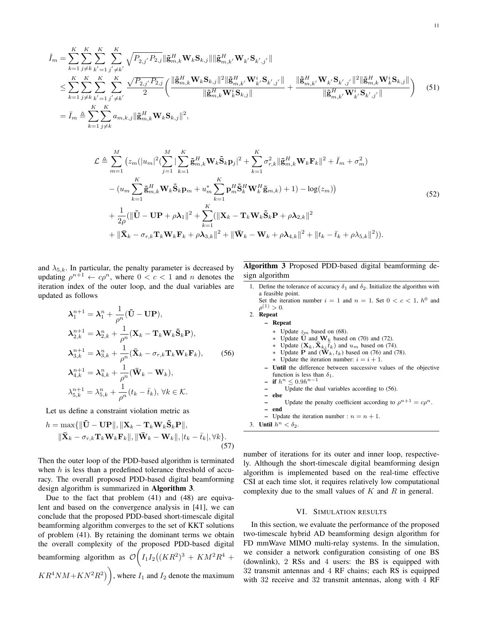$$
\tilde{I}_{m} = \sum_{k=1}^{K} \sum_{j \neq k}^{K} \sum_{k'=1}^{K} \sum_{j' \neq k'}^{K} \sqrt{P_{2,j'} P_{2,j}} \|\tilde{\mathbf{g}}_{m,k}^{H} \mathbf{W}_{k} \mathbf{S}_{k,j} \| \|\tilde{\mathbf{g}}_{m,k'}^{H} \mathbf{W}_{k'} \mathbf{S}_{k',j'} \| \n\leq \sum_{k=1}^{K} \sum_{j \neq k}^{K} \sum_{k'=1}^{K} \sum_{j' \neq k'}^{K} \frac{\sqrt{P_{2,j'} P_{2,j}}}{2} \left( \frac{\|\tilde{\mathbf{g}}_{m,k}^{H} \mathbf{W}_{k} \mathbf{S}_{k,j} \|^{2} \|\tilde{\mathbf{g}}_{m,k'}^{H} \mathbf{W}_{k'}^{*} \mathbf{S}_{k',j'} \|}{\|\tilde{\mathbf{g}}_{m,k}^{H} \mathbf{W}_{k'}^{*} \mathbf{S}_{k,j} \|} + \frac{\|\tilde{\mathbf{g}}_{m,k'}^{H} \mathbf{W}_{k'} \mathbf{S}_{k',j'} \|^{2} \|\tilde{\mathbf{g}}_{m,k}^{H} \mathbf{W}_{k}^{*} \mathbf{S}_{k,j} \|}{\|\tilde{\mathbf{g}}_{m,k'}^{H} \mathbf{W}_{k'}^{*} \mathbf{S}_{k',j'} \|} \right) (51)
$$
\n
$$
= \bar{I}_{m} \triangleq \sum_{k=1}^{K} \sum_{j \neq k}^{K} a_{m,k,j} \|\tilde{\mathbf{g}}_{m,k}^{H} \mathbf{W}_{k} \mathbf{S}_{k,j} \|^{2},
$$

$$
\mathcal{L} \triangleq \sum_{m=1}^{M} \left( z_m (|u_m|^2 (\sum_{j=1}^{M} |\sum_{k=1}^{K} \tilde{\mathbf{g}}_{m,k}^H \mathbf{W}_k \tilde{\mathbf{S}}_k \mathbf{p}_j|^2 + \sum_{k=1}^{K} \sigma_{r,k}^2 ||\tilde{\mathbf{g}}_{m,k}^H \mathbf{W}_k \mathbf{F}_k||^2 + \bar{I}_m + \sigma_m^2) \right. \\ \left. - (u_m \sum_{k=1}^{K} \tilde{\mathbf{g}}_{m,k}^H \mathbf{W}_k \tilde{\mathbf{S}}_k \mathbf{p}_m + u_m^* \sum_{k=1}^{K} \mathbf{p}_m^H \tilde{\mathbf{S}}_k^H \mathbf{W}_k^H \tilde{\mathbf{g}}_{m,k}) + 1) - \log(z_m) \right) \\ \left. + \frac{1}{2\rho} (||\tilde{\mathbf{U}} - \mathbf{U} \mathbf{P} + \rho \lambda_1||^2 + \sum_{k=1}^{K} (||\mathbf{X}_k - \mathbf{T}_k \mathbf{W}_k \tilde{\mathbf{S}}_k \mathbf{P} + \rho \lambda_{2,k}||^2) + ||\bar{\mathbf{X}}_k - \sigma_{r,k} \mathbf{T}_k \mathbf{W}_k \mathbf{F}_k + \rho \lambda_{3,k}||^2 + ||\bar{\mathbf{W}}_k - \mathbf{W}_k + \rho \lambda_{4,k}||^2 + ||t_k - \bar{t}_k + \rho \lambda_{5,k}||^2) \right).
$$
\n
$$
(52)
$$

and  $\lambda_{5,k}$ . In particular, the penalty parameter is decreased by updating  $\rho^{n+1} \leftarrow c\rho^n$ , where  $0 < c < 1$  and *n* denotes the iteration index of the outer loop, and the dual variables are updated as follows

$$
\lambda_1^{n+1} = \lambda_1^n + \frac{1}{\rho^n} (\tilde{\mathbf{U}} - \mathbf{U} \mathbf{P}),
$$
  
\n
$$
\lambda_{2,k}^{n+1} = \lambda_{2,k}^n + \frac{1}{\rho^n} (\mathbf{X}_k - \mathbf{T}_k \mathbf{W}_k \tilde{\mathbf{S}}_k \mathbf{P}),
$$
  
\n
$$
\lambda_{3,k}^{n+1} = \lambda_{3,k}^n + \frac{1}{\rho^n} (\bar{\mathbf{X}}_k - \sigma_{r,k} \mathbf{T}_k \mathbf{W}_k \mathbf{F}_k),
$$
  
\n
$$
\lambda_{4,k}^{n+1} = \lambda_{4,k}^n + \frac{1}{\rho^n} (\bar{\mathbf{W}}_k - \mathbf{W}_k),
$$
  
\n
$$
\lambda_{5,k}^{n+1} = \lambda_{5,k}^n + \frac{1}{\rho^n} (t_k - \bar{t}_k), \forall k \in \mathcal{K}.
$$
 (56)

Let us define a constraint violation metric as

$$
h = \max\{\|\tilde{\mathbf{U}} - \mathbf{U}\mathbf{P}\|, \|\mathbf{X}_k - \mathbf{T}_k \mathbf{W}_k \tilde{\mathbf{S}}_k \mathbf{P}\|,\\ \|\bar{\mathbf{X}}_k - \sigma_{r,k} \mathbf{T}_k \mathbf{W}_k \mathbf{F}_k\|, \|\bar{\mathbf{W}}_k - \mathbf{W}_k\|, |t_k - \bar{t}_k|, \forall k\}.
$$
\n(57)

Then the outer loop of the PDD-based algorithm is terminated when *h* is less than a predefined tolerance threshold of accuracy. The overall proposed PDD-based digital beamforming design algorithm is summarized in Algorithm 3.

Due to the fact that problem (41) and (48) are equivalent and based on the convergence analysis in [41], we can conclude that the proposed PDD-based short-timescale digital beamforming algorithm converges to the set of KKT solutions of problem (41). By retaining the dominant terms we obtain the overall complexity of the proposed PDD-based digital beamforming algorithm as *O*  $\sqrt{2}$  $I_1I_2((KR^2)^3 + KM^2R^4 +$  $KR^4NM+KN^2R^2)$ , where  $I_1$  and  $I_2$  denote the maximum

Algorithm 3 Proposed PDD-based digital beamforming design algorithm

1. Define the tolerance of accuracy  $\delta_1$  and  $\delta_2$ . Initialize the algorithm with a feasible point. Set the iteration number  $i = 1$  and  $n = 1$ . Set  $0 < c < 1$ ,  $h^0$  and

 $\rho^{(1)} > 0.$ 2. Repeat

- Repeat
	- *∗* Update *zm* based on (68).
	- *∗* Update **U**˜ and **W***<sup>k</sup>* based on (70) and (72).
	- Update  $(\mathbf{X}_k, \bar{\mathbf{X}}_k, \bar{t}_k)$  and  $u_m$  based on (74).
	- Update **P** and  $(\mathbf{W}_k, t_k)$  based on (76) and (78).
	- *\** Update the iteration number:  $i = i + 1$ .
	- Until the difference between successive values of the objective function is less than  $\delta_1$ .
	- − if  $h^n$  ≤ 0.9 $h^{n-1}$
	- $-$  Update the dual variables according to (56).<br> $-$ **else** – else
	- Update the penalty coefficient according to  $\rho^{n+1} = c\rho^n$ .
	- end
- Update the iteration number :  $n = n + 1$ .
- 3. **Until**  $h^n < \delta_2$ .

number of iterations for its outer and inner loop, respectively. Although the short-timescale digital beamforming design algorithm is implemented based on the real-time effective CSI at each time slot, it requires relatively low computational complexity due to the small values of *K* and *R* in general.

## VI. SIMULATION RESULTS

In this section, we evaluate the performance of the proposed two-timescale hybrid AD beamforming design algorithm for FD mmWave MIMO multi-relay systems. In the simulation, we consider a network configuration consisting of one BS (downlink), 2 RSs and 4 users: the BS is equipped with 32 transmit antennas and 4 RF chains; each RS is equipped with 32 receive and 32 transmit antennas, along with 4 RF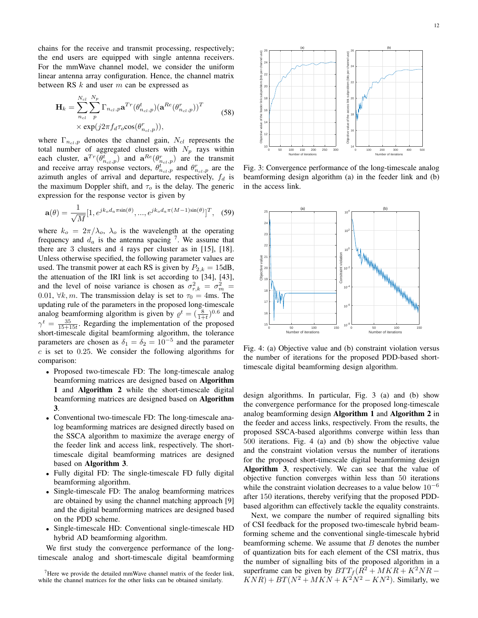chains for the receive and transmit processing, respectively; the end users are equipped with single antenna receivers. For the mmWave channel model, we consider the uniform linear antenna array configuration. Hence, the channel matrix between RS *k* and user *m* can be expressed as

$$
\mathbf{H}_{k} = \sum_{n_{cl}}^{N_{cl}} \sum_{p}^{N_{p}} \Gamma_{n_{cl},p} \mathbf{a}^{Tr}(\theta_{n_{cl},p}^{t})(\mathbf{a}^{Re}(\theta_{n_{cl},p}^{r}))^{T}
$$
  
×  $\exp(j2\pi f_{d}\tau_{o}\cos(\theta_{n_{cl},p}^{r})),$  (58)

where  $\Gamma_{n_{cl},p}$  denotes the channel gain,  $N_{cl}$  represents the total number of aggregated clusters with *N<sup>p</sup>* rays within each cluster,  $\mathbf{a}^{Tr}(\theta_{n_{cl},p}^{t})$  and  $\mathbf{a}^{Re}(\theta_{n_{cl},p}^{r})$  are the transmit and receive array response vectors,  $\theta_{ncl,p}^{t}$  and  $\theta_{ncl,p}^{r}$  are the azimuth angles of arrival and departure, respectively, *f<sup>d</sup>* is the maximum Doppler shift, and *τ<sup>o</sup>* is the delay. The generic expression for the response vector is given by

$$
\mathbf{a}(\theta) = \frac{1}{\sqrt{M}} [1, e^{jk_o d_a \pi \sin(\theta)}, \dots, e^{jk_o d_a \pi (M-1)\sin(\theta)}]^T, \quad (59)
$$

where  $k_o = 2\pi/\lambda_o$ ,  $\lambda_o$  is the wavelength at the operating frequency and  $d_a$  is the antenna spacing <sup>7</sup>. We assume that there are 3 clusters and 4 rays per cluster as in [15], [18]. Unless otherwise specified, the following parameter values are used. The transmit power at each RS is given by  $P_{2,k} = 15dB$ , the attenuation of the IRI link is set according to [34], [43], and the level of noise variance is chosen as  $\sigma_{r,k}^2 = \sigma_m^2$ 0.01,  $\forall k, m$ . The transmission delay is set to  $\tau_0 = 4$ ms. The updating rule of the parameters in the proposed long-timescale analog beamforming algorithm is given by  $\rho^t = \left(\frac{8}{1+t}\right)^{0.6}$  and  $\gamma^t = \frac{35}{15+15t}$ . Regarding the implementation of the proposed short-timescale digital beamforming algorithm, the tolerance parameters are chosen as  $\delta_1 = \delta_2 = 10^{-5}$  and the parameter *c* is set to 0*.*25. We consider the following algorithms for comparison:

- *•* Proposed two-timescale FD: The long-timescale analog beamforming matrices are designed based on Algorithm 1 and Algorithm 2 while the short-timescale digital beamforming matrices are designed based on Algorithm 3.
- *•* Conventional two-timescale FD: The long-timescale analog beamforming matrices are designed directly based on the SSCA algorithm to maximize the average energy of the feeder link and access link, respectively. The shorttimescale digital beamforming matrices are designed based on Algorithm 3.
- *•* Fully digital FD: The single-timescale FD fully digital beamforming algorithm.
- *•* Single-timescale FD: The analog beamforming matrices are obtained by using the channel matching approach [9] and the digital beamforming matrices are designed based on the PDD scheme.
- *•* Single-timescale HD: Conventional single-timescale HD hybrid AD beamforming algorithm.

We first study the convergence performance of the longtimescale analog and short-timescale digital beamforming



Fig. 3: Convergence performance of the long-timescale analog beamforming design algorithm (a) in the feeder link and (b) in the access link.



Fig. 4: (a) Objective value and (b) constraint violation versus the number of iterations for the proposed PDD-based shorttimescale digital beamforming design algorithm.

design algorithms. In particular, Fig. 3 (a) and (b) show the convergence performance for the proposed long-timescale analog beamforming design Algorithm 1 and Algorithm 2 in the feeder and access links, respectively. From the results, the proposed SSCA-based algorithms converge within less than 500 iterations. Fig. 4 (a) and (b) show the objective value and the constraint violation versus the number of iterations for the proposed short-timescale digital beamforming design Algorithm 3, respectively. We can see that the value of objective function converges within less than 50 iterations while the constraint violation decreases to a value below 10*<sup>−</sup>*<sup>6</sup> after 150 iterations, thereby verifying that the proposed PDDbased algorithm can effectively tackle the equality constraints.

Next, we compare the number of required signalling bits of CSI feedback for the proposed two-timescale hybrid beamforming scheme and the conventional single-timescale hybrid beamforming scheme. We assume that *B* denotes the number of quantization bits for each element of the CSI matrix, thus the number of signalling bits of the proposed algorithm in a superframe can be given by  $BTT_f(R^2 + MKR + K^2NR KNR) + BT(N^2 + MKN + K^2N^2 - KN^2)$ . Similarly, we

<sup>&</sup>lt;sup>7</sup>Here we provide the detailed mmWave channel matrix of the feeder link, while the channel matrices for the other links can be obtained similarly.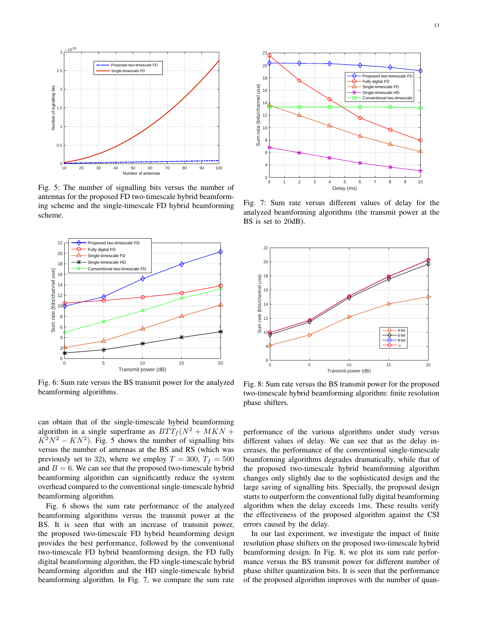

Fig. 5: The number of signalling bits versus the number of antennas for the proposed FD two-timescale hybrid beamforming scheme and the single-timescale FD hybrid beamforming scheme.



Fig. 6: Sum rate versus the BS transmit power for the analyzed beamforming algorithms.

can obtain that of the single-timescale hybrid beamforming algorithm in a single superframe as  $BTT_f(N^2 + MKN +$  $K^2N^2 - KN^2$ ). Fig. 5 shows the number of signalling bits versus the number of antennas at the BS and RS (which was previously set to 32), where we employ  $T = 300$ ,  $T_f = 500$ and  $B = 6$ . We can see that the proposed two-timescale hybrid beamforming algorithm can significantly reduce the system overhead compared to the conventional single-timescale hybrid beamforming algorithm.

Fig. 6 shows the sum rate performance of the analyzed beamforming algorithms versus the transmit power at the BS. It is seen that with an increase of transmit power, the proposed two-timescale FD hybrid beamforming design provides the best performance, followed by the conventional two-timescale FD hybrid beamforming design, the FD fully digital beamforming algorithm, the FD single-timescale hybrid beamforming algorithm and the HD single-timescale hybrid beamforming algorithm. In Fig. 7, we compare the sum rate



Fig. 7: Sum rate versus different values of delay for the analyzed beamforming algorithms (the transmit power at the BS is set to 20dB).



Fig. 8: Sum rate versus the BS transmit power for the proposed two-timescale hybrid beamforming algorithm: finite resolution phase shifters.

performance of the various algorithms under study versus different values of delay. We can see that as the delay increases, the performance of the conventional single-timescale beamforming algorithms degrades dramatically, while that of the proposed two-timescale hybrid beamforming algorithm changes only slightly due to the sophisticated design and the large saving of signalling bits. Specially, the proposed design starts to outperform the conventional fully digital beamforming algorithm when the delay exceeds 1ms. These results verify the effectiveness of the proposed algorithm against the CSI errors caused by the delay.

In our last experiment, we investigate the impact of finite resolution phase shifters on the proposed two-timescale hybrid beamforming design. In Fig. 8, we plot its sum rate performance versus the BS transmit power for different number of phase shifter quantization bits. It is seen that the performance of the proposed algorithm improves with the number of quan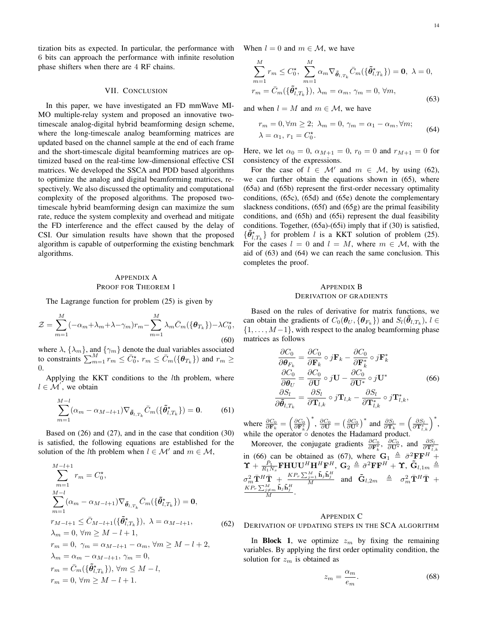tization bits as expected. In particular, the performance with 6 bits can approach the performance with infinite resolution phase shifters when there are 4 RF chains.

## VII. CONCLUSION

In this paper, we have investigated an FD mmWave MI-MO multiple-relay system and proposed an innovative twotimescale analog-digital hybrid beamforming design scheme, where the long-timescale analog beamforming matrices are updated based on the channel sample at the end of each frame and the short-timescale digital beamforming matrices are optimized based on the real-time low-dimensional effective CSI matrices. We developed the SSCA and PDD based algorithms to optimize the analog and digital beamforming matrices, respectively. We also discussed the optimality and computational complexity of the proposed algorithms. The proposed twotimescale hybrid beamforming design can maximize the sum rate, reduce the system complexity and overhead and mitigate the FD interference and the effect caused by the delay of CSI. Our simulation results have shown that the proposed algorithm is capable of outperforming the existing benchmark algorithms.

# APPENDIX A PROOF FOR THEOREM 1

The Lagrange function for problem (25) is given by

$$
\mathcal{Z} = \sum_{m=1}^{M} (-\alpha_m + \lambda_m + \lambda - \gamma_m) r_m - \sum_{m=1}^{M} \lambda_m \bar{C}_m(\{\boldsymbol{\theta}_{T_k}\}) - \lambda C_0^*,
$$
\n(60)

where  $\lambda$ ,  $\{\lambda_m\}$ , and  $\{\gamma_m\}$  denote the dual variables associated to constraints  $\sum_{m=1}^{M} r_m \le \bar{C}_0^*$ ,  $r_m \le \bar{C}_m(\{\theta_{T_k}\})$  and  $r_m \ge$ 0.

Applying the KKT conditions to the *l*th problem, where *l ∈ M′* , we obtain

$$
\sum_{m=1}^{M-l} (\alpha_m - \alpha_{M-l+1}) \nabla_{\tilde{\theta}_{l,T_k}} \bar{C}_m(\{\tilde{\theta}_{l,T_k}^{\star}\}) = 0.
$$
 (61)

Based on (26) and (27), and in the case that condition (30) is satisfied, the following equations are established for the solution of the *l*th problem when  $l \in \mathcal{M}'$  and  $m \in \mathcal{M}$ ,

$$
\sum_{m=1}^{M-l+1} r_m = C_0^*,
$$
\n
$$
\sum_{m=1}^{M-l} (\alpha_m - \alpha_{M-l+1}) \nabla_{\tilde{\theta}_{l,T_k}} \bar{C}_m(\{\tilde{\theta}_{l,T_k}^*\}) = \mathbf{0},
$$
\n
$$
r_{M-l+1} \leq \bar{C}_{M-l+1}(\{\tilde{\theta}_{l,T_k}^*\}), \ \lambda = \alpha_{M-l+1},
$$
\n
$$
\lambda_m = 0, \ \forall m \geq M-l+1,
$$
\n
$$
r_m = 0, \ \gamma_m = \alpha_{M-l+1} - \alpha_m, \ \forall m \geq M-l+2,
$$
\n
$$
\lambda_m = \alpha_m - \alpha_{M-l+1}, \ \gamma_m = 0,
$$
\n
$$
r_m = \bar{C}_m(\{\tilde{\theta}_{l,T_k}^*\}), \ \forall m \leq M-l,
$$
\n
$$
r_m = 0, \ \forall m \geq M-l+1.
$$

When  $l = 0$  and  $m \in \mathcal{M}$ , we have

$$
\sum_{m=1}^{M} r_m \leq C_0^{\star}, \sum_{m=1}^{M} \alpha_m \nabla_{\tilde{\theta}_{l,T_k}} \bar{C}_m(\{\tilde{\theta}_{l,T_k}^{\star}\}) = \mathbf{0}, \ \lambda = 0,
$$
  

$$
r_m = \bar{C}_m(\{\tilde{\theta}_{l,T_k}^{\star}\}), \ \lambda_m = \alpha_m, \ \gamma_m = 0, \ \forall m,
$$
 (63)

and when  $l = M$  and  $m \in \mathcal{M}$ , we have

$$
r_m = 0, \forall m \ge 2; \ \lambda_m = 0, \ \gamma_m = \alpha_1 - \alpha_m, \forall m; \lambda = \alpha_1, \ r_1 = C_0^*.
$$
\n(64)

Here, we let  $\alpha_0 = 0$ ,  $\alpha_{M+1} = 0$ ,  $r_0 = 0$  and  $r_{M+1} = 0$  for consistency of the expressions.

For the case of  $l \in M'$  and  $m \in M$ , by using (62), we can further obtain the equations shown in (65), where (65a) and (65b) represent the first-order necessary optimality conditions, (65c), (65d) and (65e) denote the complementary slackness conditions, (65f) and (65g) are the primal feasibility conditions, and (65h) and (65i) represent the dual feasibility conditions. Together, (65a)-(65i) imply that if (30) is satisfied,  $\{\tilde{\theta}_{l,T_k}^{\star}\}$  for problem *l* is a KKT solution of problem (25). For the cases  $l = 0$  and  $l = M$ , where  $m \in M$ , with the aid of (63) and (64) we can reach the same conclusion. This completes the proof.

### APPENDIX B DERIVATION OF GRADIENTS

Based on the rules of derivative for matrix functions, we can obtain the gradients of  $C_0(\theta_U, {\theta_F}_k)$  and  $S_l(\tilde{\theta}_{l,T_k}), l \in$ *{*1*, . . . , M −*1*}*, with respect to the analog beamforming phase matrices as follows

$$
\frac{\partial C_0}{\partial \theta_{F_k}} = \frac{\partial C_0}{\partial \mathbf{F}_k} \circ j \mathbf{F}_k - \frac{\partial C_0}{\partial \mathbf{F}_k^*} \circ j \mathbf{F}_k^*
$$
\n
$$
\frac{\partial C_0}{\partial \theta_U} = \frac{\partial C_0}{\partial \mathbf{U}} \circ j \mathbf{U} - \frac{\partial C_0}{\partial \mathbf{U}^*} \circ j \mathbf{U}^*
$$
\n
$$
\frac{\partial S_l}{\partial \tilde{\theta}_{l,T_k}} = \frac{\partial S_l}{\partial \mathbf{T}_{l,k}} \circ j \mathbf{T}_{l,k} - \frac{\partial S_l}{\partial \mathbf{T}_{l,k}^*} \circ j \mathbf{T}_{l,k}^*,
$$
\n(66)

where  $\frac{\partial C_0}{\partial \mathbf{F}_k} = \left(\frac{\partial C_0}{\partial \mathbf{F}_k^*}\right)$  $\int_{0}^{*}$ ,  $\frac{\partial C_{0}}{\partial \mathbf{U}} = \left(\frac{\partial C_{0}}{\partial \mathbf{U}^{*}}\right)^{*}$  and  $\frac{\partial S_{l}}{\partial \mathbf{T}_{k}} = \left(\frac{\partial S_{l}}{\partial \mathbf{T}_{l,k}^{*}}\right)^{*}$ , while the operator *◦* denotes the Hadamard product.

Moreover, the conjugate gradients  $\frac{\partial C_0}{\partial \mathbf{F}_k^*}$ ,  $\frac{\partial C_0}{\partial \mathbf{U}^*}$ , and  $\frac{\partial S_l}{\partial \mathbf{T}_{l,k}^*}$ <br>in (66) can be obtained as (67), where  $\mathbf{G}_1 \triangleq \bar{\sigma}^2 \mathbf{F} \mathbf{F}^H$  +  $\mathbf{\hat{Y}} + \frac{\bar{P}_1}{R_1 N_s} \mathbf{FHUU}^H \mathbf{H}^H \mathbf{F}^H, \ \ \mathbf{G}_2 \overset{\triangle}{=} \bar{\sigma}^2 \mathbf{FF}^H + \mathbf{\hat{Y}}, \ \ \mathbf{\tilde{G}}_{l,1m} \overset{\triangle}{=}$  $\sigma_m^2 \bar{\mathbf{T}}^H \bar{\mathbf{T}} + \frac{KP_r \sum_{j=1}^M \tilde{\mathbf{h}}_j \tilde{\mathbf{h}}_j^H}{M}$  and  $\tilde{\mathbf{G}}_{l,2m} \triangleq \sigma_m^2 \bar{\mathbf{T}}^H \bar{\mathbf{T}} +$  $\frac{KP_r\sum_{j\neq m}^M\tilde{\mathbf{h}}_j\tilde{\mathbf{h}}_j^H}{M}.$ 

## APPENDIX C

DERIVATION OF UPDATING STEPS IN THE SCA ALGORITHM

In **Block 1**, we optimize  $z_m$  by fixing the remaining variables. By applying the first order optimality condition, the solution for *z<sup>m</sup>* is obtained as

$$
z_m = \frac{\alpha_m}{e_m}.\tag{68}
$$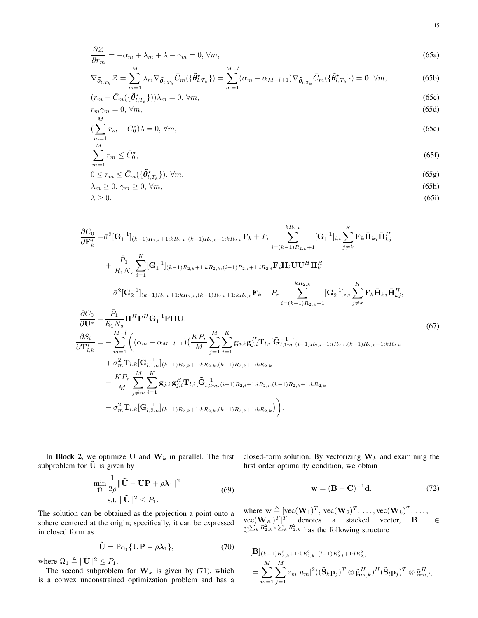$$
\frac{\partial \mathcal{Z}}{\partial r_m} = -\alpha_m + \lambda_m + \lambda - \gamma_m = 0, \forall m,
$$
\n(65a)

$$
\nabla_{\tilde{\boldsymbol{\theta}}_{l,T_k}} \mathcal{Z} = \sum_{m=1}^{M} \lambda_m \nabla_{\tilde{\boldsymbol{\theta}}_{l,T_k}} \bar{C}_m(\{\tilde{\boldsymbol{\theta}}_{l,T_k}^{\star}\}) = \sum_{m=1}^{M-l} (\alpha_m - \alpha_{M-l+1}) \nabla_{\tilde{\boldsymbol{\theta}}_{l,T_k}} \bar{C}_m(\{\tilde{\boldsymbol{\theta}}_{l,T_k}^{\star}\}) = \mathbf{0}, \forall m,
$$
(65b)

$$
(r_m - \bar{C}_m(\{\tilde{\theta}_{l,T_k}^*\}))\lambda_m = 0, \forall m,
$$
\n
$$
(65c)
$$
\n
$$
r_m \gamma_m = 0, \forall m,
$$
\n
$$
(65d)
$$

$$
\left(\sum_{m=1}^{M} r_m - C_0^{\star}\right)\lambda = 0, \forall m,\tag{65e}
$$

$$
\sum_{m=1}^{M} r_m \le \bar{C}_0^{\star},\tag{65f}
$$

$$
0 \le r_m \le \bar{C}_m(\{\tilde{\boldsymbol{\theta}}_{l,T_k}^{\star}\}), \forall m,
$$
\n<sup>(65g)</sup>

$$
\lambda_m \ge 0, \gamma_m \ge 0, \forall m,\tag{65h}
$$

$$
\lambda \geq 0. \tag{65i}
$$

$$
\frac{\partial C_{0}}{\partial \mathbf{F}_{k}^{*}} = \bar{\sigma}^{2} [\mathbf{G}_{1}^{-1}]_{(k-1)R_{2,k}+1:kR_{2,k},(k-1)R_{2,k}+1:kR_{2,k}} \mathbf{F}_{k} + P_{r} \sum_{i=(k-1)R_{2,k}+1}^{kR_{2,k}} [\mathbf{G}_{1}^{-1}]_{i,i} \sum_{j\neq k}^{K} \mathbf{F}_{k} \bar{\mathbf{H}}_{kj} \bar{\mathbf{H}}_{kj}^{H} \n+ \frac{\bar{P}_{1}}{R_{1}N_{s}} \sum_{i=1}^{K} [\mathbf{G}_{1}^{-1}]_{(k-1)R_{2,k}+1:kR_{2,k},(i-1)R_{2,i}+1:iR_{2,i}} \mathbf{F}_{i} \mathbf{H}_{i} \mathbf{U} \mathbf{U}^{H} \mathbf{H}_{k}^{H} \n- \bar{\sigma}^{2} [\mathbf{G}_{2}^{-1}]_{(k-1)R_{2,k}+1:kR_{2,k},(k-1)R_{2,k}+1:kR_{2,k}} \mathbf{F}_{k} - P_{r} \sum_{i=(k-1)R_{2,k}+1}^{kR_{2,k}} [\mathbf{G}_{2}^{-1}]_{i,i} \sum_{j\neq k}^{K} \mathbf{F}_{k} \bar{\mathbf{H}}_{kj} \bar{\mathbf{H}}_{kj}^{H}, \n\frac{\partial C_{0}}{\partial \mathbf{U}^{*}} = \frac{\bar{P}_{1}}{R_{1}N_{s}} \mathbf{H}^{H} \mathbf{F}^{H} \mathbf{G}_{1}^{-1} \mathbf{F} \mathbf{H} \mathbf{U}, \qquad (67) \n\frac{\partial S_{1}}{\partial \mathbf{T}_{i,k}^{*}} = - \sum_{m=1}^{M-1} \left( (\alpha_{m} - \alpha_{M-l+1}) (\frac{K P_{r}}{M} \sum_{j=1}^{M} \sum_{i=1}^{K} \mathbf{g}_{j,k} \mathbf{g}_{j,i}^{H} \mathbf{T}_{l,i} [\tilde{\mathbf{G}}_{l,1m}^{-1}]_{(i-1)R_{2,i}+1:iR_{2,i},(k-1)R_{2,k}+1:kR_{2,k}} + \sigma_{m}^{2} \mathbf{T}_{l,k} [\tilde{\mathbf{G}}_{l,1m}^{-1}]_{(
$$

In Block 2, we optimize  $\tilde{U}$  and  $W_k$  in parallel. The first subproblem for  $\tilde{U}$  is given by

$$
\min_{\tilde{\mathbf{U}}} \frac{1}{2\rho} \|\tilde{\mathbf{U}} - \mathbf{U}\mathbf{P} + \rho \boldsymbol{\lambda}_1\|^2
$$
\n
$$
\text{s.t. } \|\tilde{\mathbf{U}}\|^2 \le P_1. \tag{69}
$$

The solution can be obtained as the projection a point onto a sphere centered at the origin; specifically, it can be expressed in closed form as

$$
\tilde{\mathbf{U}} = \mathbb{P}_{\Omega_1} \{ \mathbf{U} \mathbf{P} - \rho \boldsymbol{\lambda}_1 \},\tag{70}
$$

where  $\Omega_1 \triangleq ||\tilde{\mathbf{U}}||^2 \leq P_1$ .

The second subproblem for  $W_k$  is given by (71), which is a convex unconstrained optimization problem and has a closed-form solution. By vectorizing **W***<sup>k</sup>* and examining the first order optimality condition, we obtain

$$
\mathbf{w} = (\mathbf{B} + \mathbf{C})^{-1} \mathbf{d},\tag{72}
$$

where  $\mathbf{w} \triangleq [\text{vec}(\mathbf{W}_1)^T, \text{vec}(\mathbf{W}_2)^T, \dots, \text{vec}(\mathbf{W}_k)^T, \dots,$  $\text{vec}(\mathbf{W}_K)^T$ <sup>T</sup> denotes a stacked vector, **B** ∈  $\mathbb{C}^{\sum_k R_{2,k}^2 \times \sum_k R_{2,k}^2}$  has the following structure

$$
\begin{aligned} [\mathbf{B}]_{(k-1)R_{2,k}^2+1:kR_{2,k}^2, (l-1)R_{2,l}^2+1:lR_{2,l}^2} \\ &= \sum_{m=1}^M \sum_{j=1}^M z_m |u_m|^2 ((\tilde{\mathbf{S}}_k \mathbf{p}_j)^T \otimes \tilde{\mathbf{g}}_{m,k}^H)^H (\tilde{\mathbf{S}}_l \mathbf{p}_j)^T \otimes \tilde{\mathbf{g}}_{m,l}^H, \end{aligned}
$$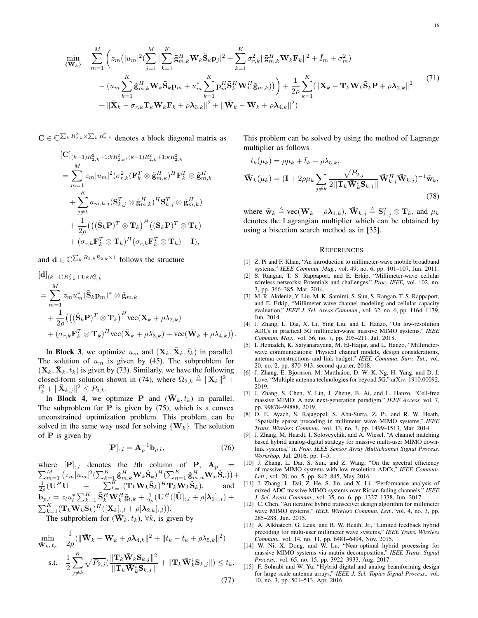$$
\begin{split}\n\min_{\{\mathbf{W}_{k}\}} \quad & \sum_{m=1}^{M} \left( z_{m} \left( |u_{m}|^{2} (\sum_{j=1}^{M} |\sum_{k=1}^{K} \tilde{\mathbf{g}}_{m,k}^{H} \mathbf{W}_{k} \tilde{\mathbf{S}}_{k} \mathbf{p}_{j}|^{2} + \sum_{k=1}^{K} \sigma_{r,k}^{2} ||\tilde{\mathbf{g}}_{m,k}^{H} \mathbf{W}_{k} \mathbf{F}_{k}||^{2} + \bar{I}_{m} + \sigma_{m}^{2} \right) \\
&- (u_{m} \sum_{k=1}^{K} \tilde{\mathbf{g}}_{m,k}^{H} \mathbf{W}_{k} \tilde{\mathbf{S}}_{k} \mathbf{p}_{m} + u_{m}^{*} \sum_{k=1}^{K} \mathbf{p}_{m}^{H} \tilde{\mathbf{S}}_{k}^{H} \mathbf{W}_{k}^{H} \tilde{\mathbf{g}}_{m,k}) \right) + \frac{1}{2\rho} \sum_{k=1}^{K} (||\mathbf{X}_{k} - \mathbf{T}_{k} \mathbf{W}_{k} \tilde{\mathbf{S}}_{k} \mathbf{P} + \rho \lambda_{2,k}||^{2} \\
&+ ||\bar{\mathbf{X}}_{k} - \sigma_{r,k} \mathbf{T}_{k} \mathbf{W}_{k} \mathbf{F}_{k} + \rho \lambda_{3,k}||^{2} + ||\bar{\mathbf{W}}_{k} - \mathbf{W}_{k} + \rho \lambda_{4,k}||^{2})\n\end{split} \tag{71}
$$

 $\mathbf{C} \in \mathbb{C}^{\sum_{k} R_{2,k}^2 \times \sum_{k} R_{2,k}^2}$  denotes a block diagonal matrix as

$$
\begin{aligned} & [\mathbf{C}]_{(k-1)R_{2,k}^2+1:kR_{2,k}^2, (k-1)R_{2,k}^2+1:kR_{2,k}^2} \\ &= \sum_{m=1}^M z_m |u_m|^2 (\sigma_{r,k}^2 (\mathbf{F}_k^T \otimes \tilde{\mathbf{g}}_{m,k}^H)^H \mathbf{F}_k^T \otimes \tilde{\mathbf{g}}_{m,k}^H \\ & + \sum_{j \neq k}^K a_{m,k,j} (\mathbf{S}_{k,j}^T \otimes \tilde{\mathbf{g}}_{m,k}^H)^H \mathbf{S}_{k,j}^T \otimes \tilde{\mathbf{g}}_{m,k}^H) \\ & + \frac{1}{2\rho} \big( \big( (\tilde{\mathbf{S}}_k \mathbf{P})^T \otimes \mathbf{T}_k \big)^H \big( (\tilde{\mathbf{S}}_k \mathbf{P})^T \otimes \mathbf{T}_k \big) \\ & + (\sigma_{r,k} \mathbf{F}_k^T \otimes \mathbf{T}_k)^H (\sigma_{r,k} \mathbf{F}_k^T \otimes \mathbf{T}_k) + \mathbf{I} \big), \end{aligned}
$$

and  $\mathbf{d} \in \mathbb{C}^{\sum_{k} R_{2,k} R_{2,k} \times 1}$  follows the structure

$$
\begin{aligned}\n&[\mathbf{d}]_{(k-1)R_{2,k}^2+1:kR_{2,k}^2} \\
&= \sum_{m=1}^M z_m u_m^*(\tilde{\mathbf{S}}_k \mathbf{p}_m)^* \otimes \tilde{\mathbf{g}}_{m,k} \\
&+ \frac{1}{2\rho} \big( \big( (\tilde{\mathbf{S}}_k \mathbf{P})^T \otimes \mathbf{T}_k \big)^H \text{vec}(\mathbf{X}_k + \rho \lambda_{2,k}) \\
&+ (\sigma_{r,k} \mathbf{F}_k^T \otimes \mathbf{T}_k)^H \text{vec}(\bar{\mathbf{X}}_k + \rho \lambda_{3,k}) + \text{vec}(\bar{\mathbf{W}}_k + \rho \lambda_{4,k}) \big).\n\end{aligned}
$$

In **Block 3**, we optimize  $u_m$  and  $(X_k, \bar{X}_k, \bar{t}_k)$  in parallel. The solution of  $u_m$  is given by (45). The subproblem for  $({\bf X}_k, {\bf \bar X}_k, {\bf \bar t}_k)$  is given by (73). Similarly, we have the following closed-form solution shown in (74), where  $\Omega_{2,k} \triangleq ||\mathbf{X}_k||^2 +$  $\bar{t}_k^2 + \|\bar{\mathbf{X}}_{k,j}\|^2 \leq P_{2,k}.$ 

In **Block 4**, we optimize **P** and  $(\mathbf{\bar{W}}_k, t_k)$  in parallel. The subproblem for  $P$  is given by  $(75)$ , which is a convex unconstrained optimization problem. This problem can be solved in the same way used for solving  $\{W_k\}$ . The solution of **P** is given by

$$
[\mathbf{P}]_{:,l} = \mathbf{A}_p^{-1} \mathbf{b}_{p,l},\tag{76}
$$

where  $[\mathbf{P}]_{:,l}$  denotes the *l*th column of **P**,  $\mathbf{A}_p$  =  $\sum_{m=1}^M (z_m |u_m|^2 (\sum_{k=1}^K \tilde{\mathbf{g}}_{m,k}^H \mathbf{W}_k \tilde{\mathbf{S}}_k)^H (\sum_{n=1}^K \tilde{\mathbf{g}}_{m,n}^H \mathbf{W}_n \tilde{\mathbf{S}}_n)) +$  $\frac{1}{2\rho}(\mathbf{U}^H\mathbf{U} + \sum_{k=1}^K (\mathbf{T}_k\mathbf{W}_k\tilde{\mathbf{S}}_k)^H\mathbf{T}_k\mathbf{W}_k\tilde{\mathbf{S}}_k),$  and  $\mathbf{b}_{p,l} = z_l u_l^* \sum_{k=1}^K \tilde{\mathbf{S}}_k^H \mathbf{W}_k^H \tilde{\mathbf{g}}_{l,k} + \frac{1}{2\rho} (\mathbf{U}^H ([\tilde{\mathbf{U}}]_{:,l} + \rho[\boldsymbol{\lambda}_1]_{:,l} ) +$  $\sum_{k=1}^K (\mathbf{T}_k \mathbf{W}_k \tilde{\mathbf{S}}_k)^H([\mathbf{X}_k]_{:,l} + \rho[\boldsymbol{\lambda}_{2,k}]_{:,l})).$ The subproblem for  $(\bar{\mathbf{W}}_k, t_k)$ ,  $\forall k$ , is given by

$$
\min_{\mathbf{\bar{W}}_k, t_k} \quad \frac{1}{2\rho} (\|\mathbf{\bar{W}}_k - \mathbf{W}_k + \rho \lambda_{4,k} \|^2 + \|t_k - \bar{t}_k + \rho \lambda_{5,k}\|^2)
$$
\n
$$
\text{s.t.} \quad \frac{1}{2} \sum_{j \neq k}^K \sqrt{P_{2,j}} (\frac{\|\mathbf{T}_k \mathbf{\bar{W}}_k \mathbf{S}_{k,j}\|^2}{\|\mathbf{T}_k \mathbf{\bar{W}}_k^i \mathbf{S}_{k,j}\|} + \|\mathbf{T}_k \mathbf{\bar{W}}_k^i \mathbf{S}_{k,j} \|) \le t_k. \tag{77}
$$

This problem can be solved by using the method of Lagrange multiplier as follows

$$
t_k(\mu_k) = \rho \mu_k + \bar{t}_k - \rho \lambda_{5,k},
$$
  

$$
\bar{\mathbf{W}}_k(\mu_k) = (\mathbf{I} + 2\rho \mu_k \sum_{j \neq k} \frac{\sqrt{P_{2,j}}}{2||\mathbf{T}_k \bar{\mathbf{W}}_k^i \mathbf{S}_{k,j}||} \tilde{\mathbf{W}}_{k,j}^H \tilde{\mathbf{W}}_{k,j})^{-1} \tilde{\mathbf{w}}_k,
$$
(78)

where  $\tilde{\mathbf{w}}_k \triangleq \text{vec}(\mathbf{W}_k - \rho \lambda_{4,k}), \ \tilde{\mathbf{W}}_{k,j} \triangleq \mathbf{S}_{k,j}^T \otimes \mathbf{T}_k$ , and  $\mu_k$ denotes the Lagrangian multiplier which can be obtained by using a bisection search method as in [35].

#### **REFERENCES**

- [1] Z. Pi and F. Khan, "An introduction to millimeter-wave mobile broadband systems," *IEEE Commun. Mag.,* vol. 49, no. 6, pp. 101–107, Jun. 2011.
- [2] S. Rangan, T. S. Rappaport, and E. Erkip, "Millimeter-wave cellular wireless networks: Potentials and challenges," *Proc. IEEE,* vol. 102, no. 3, pp. 366–385, Mar. 2014.
- [3] M. R. Akdeniz, Y. Liu, M. K. Samimi, S. Sun, S. Rangan, T. S. Rappaport, and E. Erkip, "Millimeter wave channel modeling and cellular capacity evaluation," *IEEE J. Sel. Areas Commun.,* vol. 32, no. 6, pp. 1164–1179, Jun. 2014.
- [4] J. Zhang, L. Dai, X. Li, Ying Liu, and L. Hanzo, "On low-resolution ADCs in practical 5G millimeter-wave massive MIMO systems," *IEEE Commun. Mag.,* vol. 56, no. 7, pp. 205–211, Jul. 2018.
- [5] I. Hemadeh, K. Satyanarayana, M. El-Hajjar, and L. Hanzo, "Millimeterwave communications: Physical channel models, design considerations, antenna constructions and link-budget," *IEEE Commun. Surv. Tut.,* vol. 20, no. 2, pp. 870–913, second quarter, 2018.
- [6] J. Zhang, E. Bjornson, M. Matthaiou, D. W. K. Ng, H. Yang, and D. J. Love, "Multiple antenna technologies for beyond 5G," arXiv: 1910.00092, 2019.
- [7] J. Zhang, S. Chen, Y. Lin, J. Zheng, B. Ai, and L. Hanzo, "Cell-free massive MIMO: A new next-generation paradigm," *IEEE Access,* vol. 7, pp. 99878–99888, 2019.
- [8] O. E. Ayach, S. Rajagopal, S. Abu-Surra, Z. Pi, and R. W. Heath, "Spatially sparse precoding in millimeter wave MIMO systems," *IEEE Trans. Wireless Commun.,* vol. 13, no. 3, pp. 1499–1513, Mar. 2014.
- [9] J. Zhang, M. Haardt, I. Soloveychik, and A. Wiesel, "A channel matching based hybrid analog-digital strategy for massive multi-user MIMO downlink systems," in *Proc. IEEE Sensor Array Multichannel Signal Process. Workshop,* Jul. 2016, pp. 1–5.
- [10] J. Zhang, L. Dai, S. Sun, and Z. Wang, "On the spectral efficiency of massive MIMO systems with low-resolution ADCs," *IEEE Commun. Lett.,* vol. 20, no. 5, pp. 842–845, May 2016.
- [11] J. Zhang, L. Dai, Z. He, S. Jin, and X. Li, "Performance analysis of mixed-ADC massive MIMO systems over Rician fading channels," *IEEE J. Sel. Areas Commun.,* vol. 35, no. 6, pp. 1327–1338, Jun. 2017.
- [12] C. Chen, "An iterative hybrid transceiver design algorithm for millimeter wave MIMO systems," *IEEE Wireless Commun. Lett.,* vol. 4, no. 3, pp. 285–288, Jun. 2015.
- [13] A. Alkhateeb, G. Leus, and R. W. Heath, Jr., "Limited feedback hybrid precoding for multi-user millimeter wave systems," *IEEE Trans. Wireless Commun.,* vol. 14, no. 11, pp. 6481–6494, Nov. 2015.
- [14] W. Ni, X. Dong, and W. Lu, "Near-optimal hybrid processing for massive MIMO systems via matrix decomposition," *IEEE Trans. Signal Process.,* vol. 65, no. 15, pp. 3922–3933, Aug. 2017.
- [15] F. Sohrabi and W. Yu, "Hybrid digital and analog beamforming design for large-scale antenna arrays," *IEEE J. Sel. Topics Signal Process.,* vol. 10, no. 3, pp. 501–513, Apr. 2016.